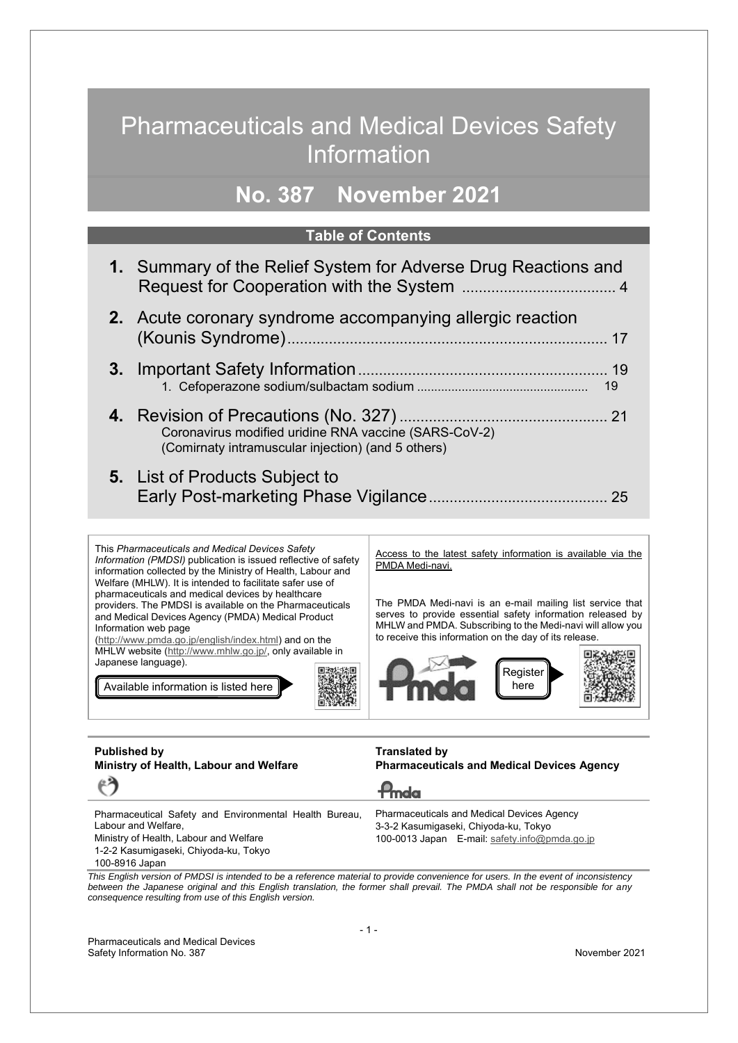## Pharmaceuticals and Medical Devices Safety Information

## **No. 387 November 2021**

#### **Table of Contents**

| 1. Summary of the Relief System for Adverse Drug Reactions and                                              |
|-------------------------------------------------------------------------------------------------------------|
| <b>2.</b> Acute coronary syndrome accompanying allergic reaction                                            |
| 19                                                                                                          |
| Coronavirus modified uridine RNA vaccine (SARS-CoV-2)<br>(Comirnaty intramuscular injection) (and 5 others) |
| <b>5.</b> List of Products Subject to                                                                       |



Pharmaceutical Safety and Environmental Health Bureau, Labour and Welfare, Ministry of Health, Labour and Welfare 1-2-2 Kasumigaseki, Chiyoda-ku, Tokyo 100-8916 Japan Pharmaceuticals and Medical Devices Agency 3-3-2 Kasumigaseki, Chiyoda-ku, Tokyo 100-0013 Japan E-mail: safety.info@pmda.go.jp

*This English version of PMDSI is intended to be a reference material to provide convenience for users. In the event of inconsistency between the Japanese original and this English translation, the former shall prevail. The PMDA shall not be responsible for any consequence resulting from use of this English version.*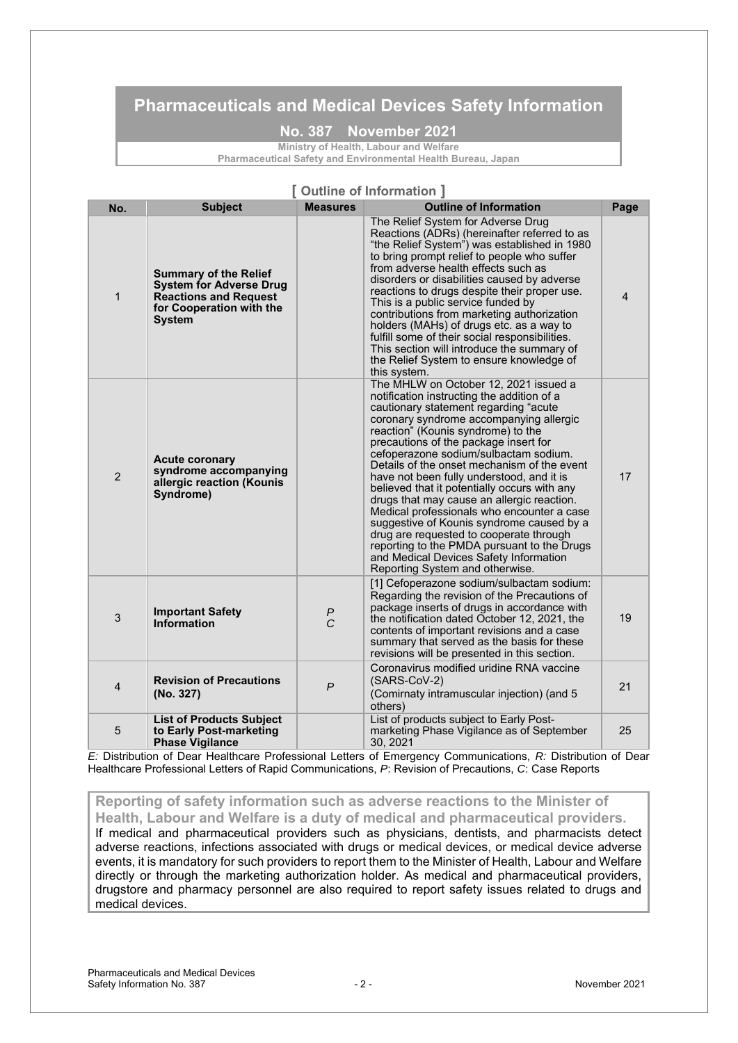### **Pharmaceuticals and Medical Devices Safety Information**

**No. 387 November 2021**

**Ministry of Health, Labour and Welfare Pharmaceutical Safety and Environmental Health Bureau, Japan**

| [Outline of Information] |                                                                                                                                             |                                   |                                                                                                                                                                                                                                                                                                                                                                                                                                                                                                                                                                                                                                                                                                                                                             |                |  |
|--------------------------|---------------------------------------------------------------------------------------------------------------------------------------------|-----------------------------------|-------------------------------------------------------------------------------------------------------------------------------------------------------------------------------------------------------------------------------------------------------------------------------------------------------------------------------------------------------------------------------------------------------------------------------------------------------------------------------------------------------------------------------------------------------------------------------------------------------------------------------------------------------------------------------------------------------------------------------------------------------------|----------------|--|
| No.                      | <b>Subject</b>                                                                                                                              | <b>Measures</b>                   | <b>Outline of Information</b>                                                                                                                                                                                                                                                                                                                                                                                                                                                                                                                                                                                                                                                                                                                               | Page           |  |
| $\mathbf{1}$             | <b>Summary of the Relief</b><br><b>System for Adverse Drug</b><br><b>Reactions and Request</b><br>for Cooperation with the<br><b>System</b> |                                   | The Relief System for Adverse Drug<br>Reactions (ADRs) (hereinafter referred to as<br>"the Relief System") was established in 1980<br>to bring prompt relief to people who suffer<br>from adverse health effects such as<br>disorders or disabilities caused by adverse<br>reactions to drugs despite their proper use.<br>This is a public service funded by<br>contributions from marketing authorization<br>holders (MAHs) of drugs etc. as a way to<br>fulfill some of their social responsibilities.<br>This section will introduce the summary of<br>the Relief System to ensure knowledge of<br>this system.                                                                                                                                         | $\overline{4}$ |  |
| $\overline{2}$           | <b>Acute coronary</b><br>syndrome accompanying<br>allergic reaction (Kounis<br>Syndrome)                                                    |                                   | The MHLW on October 12, 2021 issued a<br>notification instructing the addition of a<br>cautionary statement regarding "acute<br>coronary syndrome accompanying allergic<br>reaction" (Kounis syndrome) to the<br>precautions of the package insert for<br>cefoperazone sodium/sulbactam sodium.<br>Details of the onset mechanism of the event<br>have not been fully understood, and it is<br>believed that it potentially occurs with any<br>drugs that may cause an allergic reaction.<br>Medical professionals who encounter a case<br>suggestive of Kounis syndrome caused by a<br>drug are requested to cooperate through<br>reporting to the PMDA pursuant to the Drugs<br>and Medical Devices Safety Information<br>Reporting System and otherwise. | 17             |  |
| 3                        | <b>Important Safety</b><br>Information                                                                                                      | $\boldsymbol{P}$<br>$\mathcal{C}$ | [1] Cefoperazone sodium/sulbactam sodium:<br>Regarding the revision of the Precautions of<br>package inserts of drugs in accordance with<br>the notification dated October 12, 2021, the<br>contents of important revisions and a case<br>summary that served as the basis for these<br>revisions will be presented in this section.                                                                                                                                                                                                                                                                                                                                                                                                                        | 19             |  |
| 4                        | <b>Revision of Precautions</b><br>(No. 327)                                                                                                 | $\overline{P}$                    | Coronavirus modified uridine RNA vaccine<br>(SARS-CoV-2)<br>(Comirnaty intramuscular injection) (and 5<br>others)                                                                                                                                                                                                                                                                                                                                                                                                                                                                                                                                                                                                                                           | 21             |  |
| 5                        | <b>List of Products Subject</b><br>to Early Post-marketing<br><b>Phase Vigilance</b>                                                        |                                   | List of products subject to Early Post-<br>marketing Phase Vigilance as of September<br>30, 2021                                                                                                                                                                                                                                                                                                                                                                                                                                                                                                                                                                                                                                                            | 25             |  |

*E:* Distribution of Dear Healthcare Professional Letters of Emergency Communications, *R:* Distribution of Dear Healthcare Professional Letters of Rapid Communications, *P*: Revision of Precautions, *C*: Case Reports

**Reporting of safety information such as adverse reactions to the Minister of Health, Labour and Welfare is a duty of medical and pharmaceutical providers.**  If medical and pharmaceutical providers such as physicians, dentists, and pharmacists detect adverse reactions, infections associated with drugs or medical devices, or medical device adverse events, it is mandatory for such providers to report them to the Minister of Health, Labour and Welfare directly or through the marketing authorization holder. As medical and pharmaceutical providers, drugstore and pharmacy personnel are also required to report safety issues related to drugs and medical devices.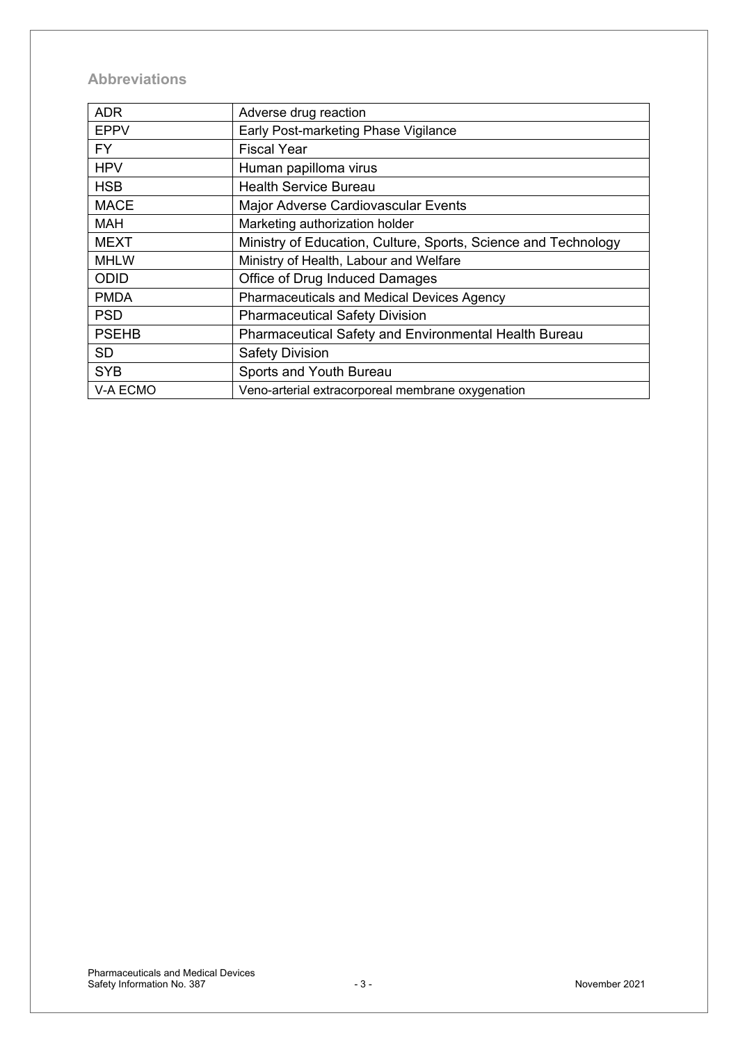### **Abbreviations**

| <b>ADR</b>   | Adverse drug reaction                                          |
|--------------|----------------------------------------------------------------|
| <b>EPPV</b>  | Early Post-marketing Phase Vigilance                           |
| FY.          | <b>Fiscal Year</b>                                             |
| <b>HPV</b>   | Human papilloma virus                                          |
| <b>HSB</b>   | <b>Health Service Bureau</b>                                   |
| <b>MACE</b>  | Major Adverse Cardiovascular Events                            |
| <b>MAH</b>   | Marketing authorization holder                                 |
| <b>MEXT</b>  | Ministry of Education, Culture, Sports, Science and Technology |
| <b>MHLW</b>  | Ministry of Health, Labour and Welfare                         |
| ODID         | Office of Drug Induced Damages                                 |
| <b>PMDA</b>  | <b>Pharmaceuticals and Medical Devices Agency</b>              |
| <b>PSD</b>   | <b>Pharmaceutical Safety Division</b>                          |
| <b>PSEHB</b> | <b>Pharmaceutical Safety and Environmental Health Bureau</b>   |
| <b>SD</b>    | <b>Safety Division</b>                                         |
| <b>SYB</b>   | Sports and Youth Bureau                                        |
| V-A ECMO     | Veno-arterial extracorporeal membrane oxygenation              |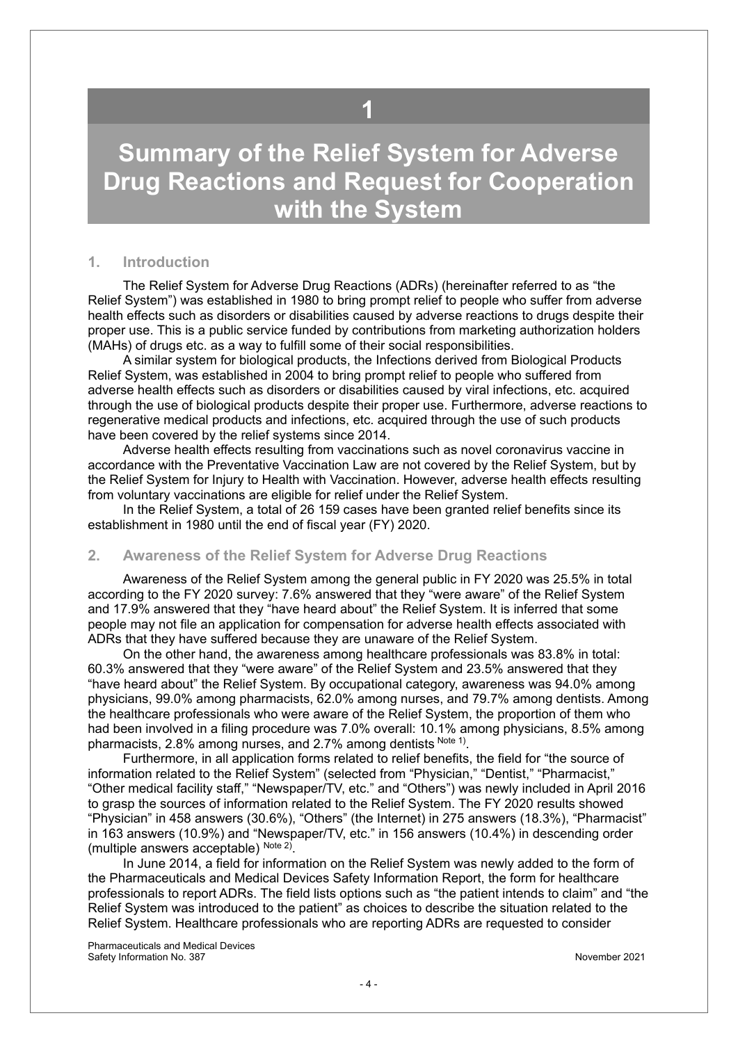## **1**

## <span id="page-3-0"></span>**Summary of the Relief System for Adverse Drug Reactions and Request for Cooperation with the System**

#### **1. Introduction**

The Relief System for Adverse Drug Reactions (ADRs) (hereinafter referred to as "the Relief System") was established in 1980 to bring prompt relief to people who suffer from adverse health effects such as disorders or disabilities caused by adverse reactions to drugs despite their proper use. This is a public service funded by contributions from marketing authorization holders (MAHs) of drugs etc. as a way to fulfill some of their social responsibilities.

A similar system for biological products, the Infections derived from Biological Products Relief System, was established in 2004 to bring prompt relief to people who suffered from adverse health effects such as disorders or disabilities caused by viral infections, etc. acquired through the use of biological products despite their proper use. Furthermore, adverse reactions to regenerative medical products and infections, etc. acquired through the use of such products have been covered by the relief systems since 2014.

Adverse health effects resulting from vaccinations such as novel coronavirus vaccine in accordance with the Preventative Vaccination Law are not covered by the Relief System, but by the Relief System for Injury to Health with Vaccination. However, adverse health effects resulting from voluntary vaccinations are eligible for relief under the Relief System.

In the Relief System, a total of 26 159 cases have been granted relief benefits since its establishment in 1980 until the end of fiscal year (FY) 2020.

#### **2. Awareness of the Relief System for Adverse Drug Reactions**

Awareness of the Relief System among the general public in FY 2020 was 25.5% in total according to the FY 2020 survey: 7.6% answered that they "were aware" of the Relief System and 17.9% answered that they "have heard about" the Relief System. It is inferred that some people may not file an application for compensation for adverse health effects associated with ADRs that they have suffered because they are unaware of the Relief System.

On the other hand, the awareness among healthcare professionals was 83.8% in total: 60.3% answered that they "were aware" of the Relief System and 23.5% answered that they "have heard about" the Relief System. By occupational category, awareness was 94.0% among physicians, 99.0% among pharmacists, 62.0% among nurses, and 79.7% among dentists. Among the healthcare professionals who were aware of the Relief System, the proportion of them who had been involved in a filing procedure was 7.0% overall: 10.1% among physicians, 8.5% among pharmacists, 2.8% among nurses, and 2.7% among dentists Note 1).

Furthermore, in all application forms related to relief benefits, the field for "the source of information related to the Relief System" (selected from "Physician," "Dentist," "Pharmacist," "Other medical facility staff," "Newspaper/TV, etc." and "Others") was newly included in April 2016 to grasp the sources of information related to the Relief System. The FY 2020 results showed "Physician" in 458 answers (30.6%), "Others" (the Internet) in 275 answers (18.3%), "Pharmacist" in 163 answers (10.9%) and "Newspaper/TV, etc." in 156 answers (10.4%) in descending order (multiple answers acceptable)  $Note 2)$ .

In June 2014, a field for information on the Relief System was newly added to the form of the Pharmaceuticals and Medical Devices Safety Information Report, the form for healthcare professionals to report ADRs. The field lists options such as "the patient intends to claim" and "the Relief System was introduced to the patient" as choices to describe the situation related to the Relief System. Healthcare professionals who are reporting ADRs are requested to consider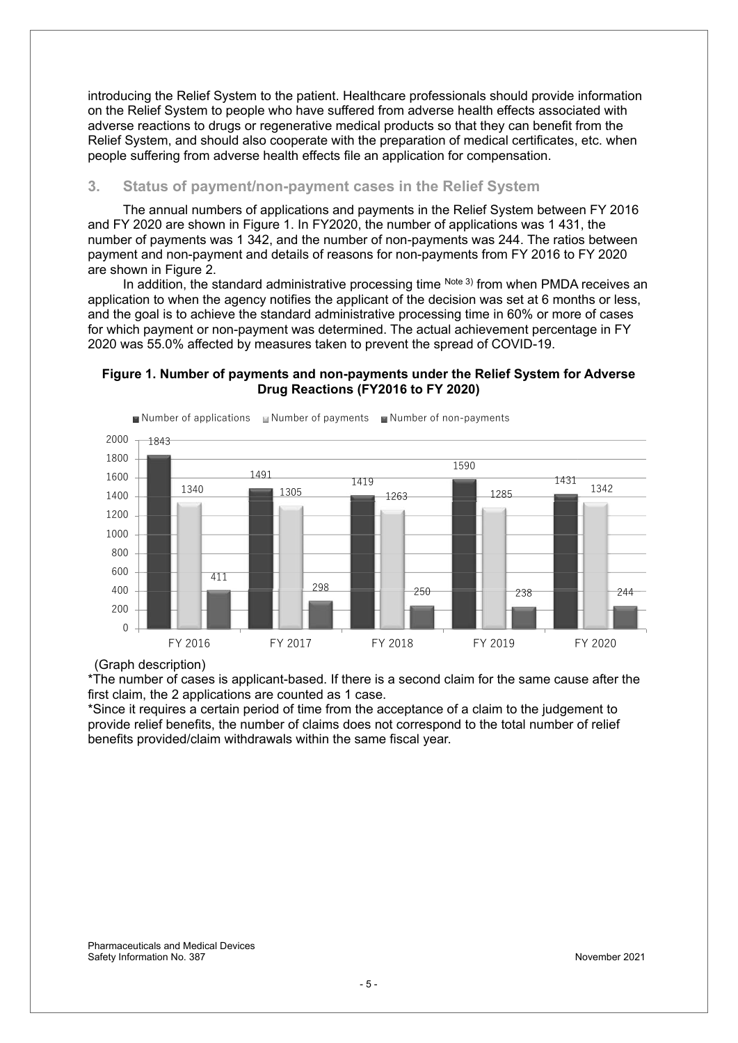introducing the Relief System to the patient. Healthcare professionals should provide information on the Relief System to people who have suffered from adverse health effects associated with adverse reactions to drugs or regenerative medical products so that they can benefit from the Relief System, and should also cooperate with the preparation of medical certificates, etc. when people suffering from adverse health effects file an application for compensation.

#### **3. Status of payment/non-payment cases in the Relief System**

The annual numbers of applications and payments in the Relief System between FY 2016 and FY 2020 are shown in Figure 1. In FY2020, the number of applications was 1 431, the number of payments was 1 342, and the number of non-payments was 244. The ratios between payment and non-payment and details of reasons for non-payments from FY 2016 to FY 2020 are shown in Figure 2.

In addition, the standard administrative processing time  $N<sup>ote 3</sup>$  from when PMDA receives an application to when the agency notifies the applicant of the decision was set at 6 months or less, and the goal is to achieve the standard administrative processing time in 60% or more of cases for which payment or non-payment was determined. The actual achievement percentage in FY 2020 was 55.0% affected by measures taken to prevent the spread of COVID-19.

#### **Figure 1. Number of payments and non-payments under the Relief System for Adverse Drug Reactions (FY2016 to FY 2020)**



#### (Graph description)

\*The number of cases is applicant-based. If there is a second claim for the same cause after the first claim, the 2 applications are counted as 1 case.

\*Since it requires a certain period of time from the acceptance of a claim to the judgement to provide relief benefits, the number of claims does not correspond to the total number of relief benefits provided/claim withdrawals within the same fiscal year.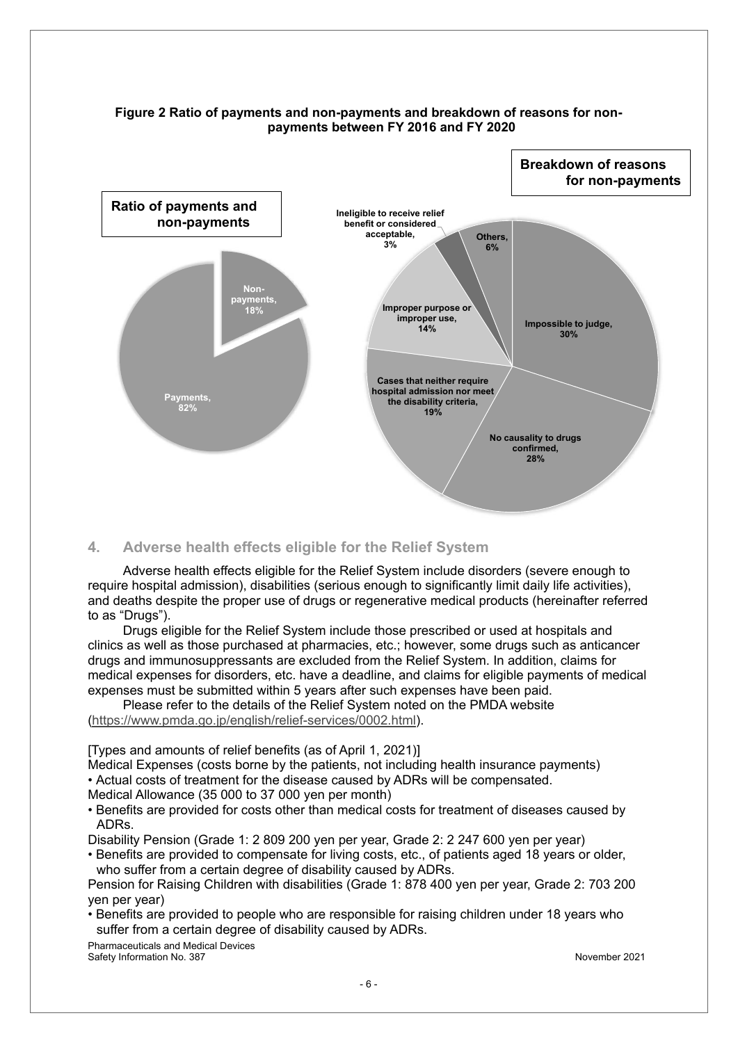

#### **Figure 2 Ratio of payments and non-payments and breakdown of reasons for nonpayments between FY 2016 and FY 2020**

#### **4. Adverse health effects eligible for the Relief System**

Adverse health effects eligible for the Relief System include disorders (severe enough to require hospital admission), disabilities (serious enough to significantly limit daily life activities), and deaths despite the proper use of drugs or regenerative medical products (hereinafter referred to as "Drugs").

Drugs eligible for the Relief System include those prescribed or used at hospitals and clinics as well as those purchased at pharmacies, etc.; however, some drugs such as anticancer drugs and immunosuppressants are excluded from the Relief System. In addition, claims for medical expenses for disorders, etc. have a deadline, and claims for eligible payments of medical expenses must be submitted within 5 years after such expenses have been paid.

Please refer to the details of the Relief System noted on the PMDA website (https://www.pmda.go.jp/english/relief-services/0002.html).

[Types and amounts of relief benefits (as of April 1, 2021)]

Medical Expenses (costs borne by the patients, not including health insurance payments) • Actual costs of treatment for the disease caused by ADRs will be compensated.

Medical Allowance (35 000 to 37 000 yen per month)

• Benefits are provided for costs other than medical costs for treatment of diseases caused by ADRs.

Disability Pension (Grade 1: 2 809 200 yen per year, Grade 2: 2 247 600 yen per year)

• Benefits are provided to compensate for living costs, etc., of patients aged 18 years or older, who suffer from a certain degree of disability caused by ADRs.

Pension for Raising Children with disabilities (Grade 1: 878 400 yen per year, Grade 2: 703 200 yen per year)

• Benefits are provided to people who are responsible for raising children under 18 years who suffer from a certain degree of disability caused by ADRs.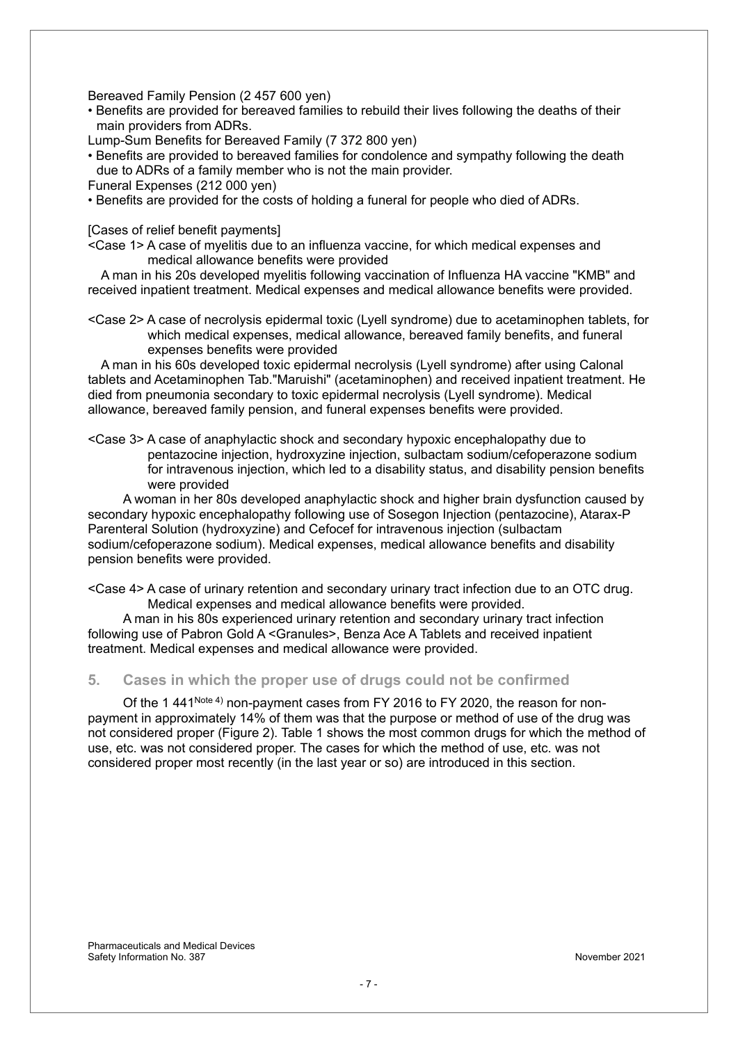Bereaved Family Pension (2 457 600 yen)

• Benefits are provided for bereaved families to rebuild their lives following the deaths of their main providers from ADRs.

Lump-Sum Benefits for Bereaved Family (7 372 800 yen)

- Benefits are provided to bereaved families for condolence and sympathy following the death due to ADRs of a family member who is not the main provider.
- Funeral Expenses (212 000 yen)
- Benefits are provided for the costs of holding a funeral for people who died of ADRs.

[Cases of relief benefit payments]

<Case 1> A case of myelitis due to an influenza vaccine, for which medical expenses and medical allowance benefits were provided

A man in his 20s developed myelitis following vaccination of Influenza HA vaccine "KMB" and received inpatient treatment. Medical expenses and medical allowance benefits were provided.

<Case 2> A case of necrolysis epidermal toxic (Lyell syndrome) due to acetaminophen tablets, for which medical expenses, medical allowance, bereaved family benefits, and funeral expenses benefits were provided

A man in his 60s developed toxic epidermal necrolysis (Lyell syndrome) after using Calonal tablets and Acetaminophen Tab."Maruishi" (acetaminophen) and received inpatient treatment. He died from pneumonia secondary to toxic epidermal necrolysis (Lyell syndrome). Medical allowance, bereaved family pension, and funeral expenses benefits were provided.

<Case 3> A case of anaphylactic shock and secondary hypoxic encephalopathy due to pentazocine injection, hydroxyzine injection, sulbactam sodium/cefoperazone sodium for intravenous injection, which led to a disability status, and disability pension benefits were provided

A woman in her 80s developed anaphylactic shock and higher brain dysfunction caused by secondary hypoxic encephalopathy following use of Sosegon Injection (pentazocine), Atarax-P Parenteral Solution (hydroxyzine) and Cefocef for intravenous injection (sulbactam sodium/cefoperazone sodium). Medical expenses, medical allowance benefits and disability pension benefits were provided.

<Case 4> A case of urinary retention and secondary urinary tract infection due to an OTC drug. Medical expenses and medical allowance benefits were provided.

A man in his 80s experienced urinary retention and secondary urinary tract infection following use of Pabron Gold A <Granules>, Benza Ace A Tablets and received inpatient treatment. Medical expenses and medical allowance were provided.

#### **5. Cases in which the proper use of drugs could not be confirmed**

Of the 1 441<sup>Note 4)</sup> non-payment cases from FY 2016 to FY 2020, the reason for nonpayment in approximately 14% of them was that the purpose or method of use of the drug was not considered proper (Figure 2). Table 1 shows the most common drugs for which the method of use, etc. was not considered proper. The cases for which the method of use, etc. was not considered proper most recently (in the last year or so) are introduced in this section.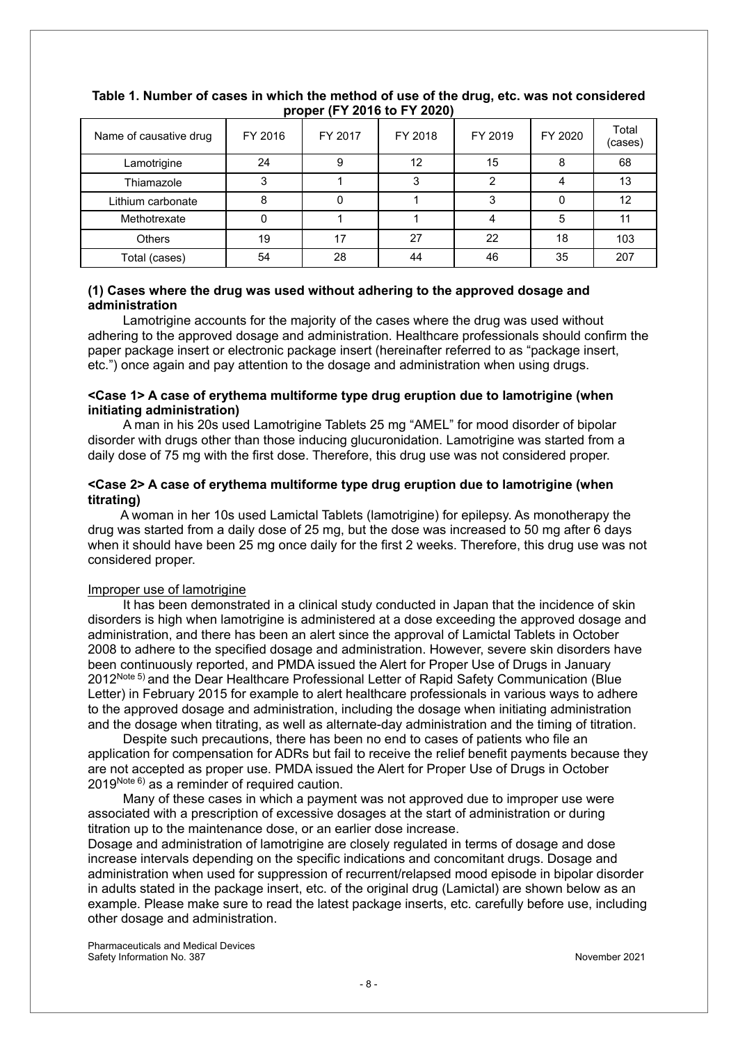| Name of causative drug | FY 2016 | FY 2017 | FY 2018 | FY 2019 | FY 2020 | Total<br>(cases) |  |
|------------------------|---------|---------|---------|---------|---------|------------------|--|
| Lamotrigine            | 24      | 9       | 12      | 15      | 8       | 68               |  |
| Thiamazole             |         |         |         |         |         | 13               |  |
| Lithium carbonate      | 8       |         |         |         |         | 12               |  |
| Methotrexate           |         |         |         |         | 5       |                  |  |
| <b>Others</b>          | 19      | 17      | 27      | 22      | 18      | 103              |  |
| Total (cases)          | 54      | 28      | 44      | 46      | 35      | 207              |  |

#### **Table 1. Number of cases in which the method of use of the drug, etc. was not considered proper (FY 2016 to FY 2020)**

#### **(1) Cases where the drug was used without adhering to the approved dosage and administration**

Lamotrigine accounts for the majority of the cases where the drug was used without adhering to the approved dosage and administration. Healthcare professionals should confirm the paper package insert or electronic package insert (hereinafter referred to as "package insert, etc.") once again and pay attention to the dosage and administration when using drugs.

#### **<Case 1> A case of erythema multiforme type drug eruption due to lamotrigine (when initiating administration)**

A man in his 20s used Lamotrigine Tablets 25 mg "AMEL" for mood disorder of bipolar disorder with drugs other than those inducing glucuronidation. Lamotrigine was started from a daily dose of 75 mg with the first dose. Therefore, this drug use was not considered proper.

#### **<Case 2> A case of erythema multiforme type drug eruption due to lamotrigine (when titrating)**

A woman in her 10s used Lamictal Tablets (lamotrigine) for epilepsy. As monotherapy the drug was started from a daily dose of 25 mg, but the dose was increased to 50 mg after 6 days when it should have been 25 mg once daily for the first 2 weeks. Therefore, this drug use was not considered proper.

#### Improper use of lamotrigine

It has been demonstrated in a clinical study conducted in Japan that the incidence of skin disorders is high when lamotrigine is administered at a dose exceeding the approved dosage and administration, and there has been an alert since the approval of Lamictal Tablets in October 2008 to adhere to the specified dosage and administration. However, severe skin disorders have been continuously reported, and PMDA issued the Alert for Proper Use of Drugs in January 2012<sup>Note 5)</sup> and the Dear Healthcare Professional Letter of Rapid Safety Communication (Blue Letter) in February 2015 for example to alert healthcare professionals in various ways to adhere to the approved dosage and administration, including the dosage when initiating administration and the dosage when titrating, as well as alternate-day administration and the timing of titration.

Despite such precautions, there has been no end to cases of patients who file an application for compensation for ADRs but fail to receive the relief benefit payments because they are not accepted as proper use. PMDA issued the Alert for Proper Use of Drugs in October  $2019^{\text{Note } 6}$  as a reminder of required caution.

Many of these cases in which a payment was not approved due to improper use were associated with a prescription of excessive dosages at the start of administration or during titration up to the maintenance dose, or an earlier dose increase.

Dosage and administration of lamotrigine are closely regulated in terms of dosage and dose increase intervals depending on the specific indications and concomitant drugs. Dosage and administration when used for suppression of recurrent/relapsed mood episode in bipolar disorder in adults stated in the package insert, etc. of the original drug (Lamictal) are shown below as an example. Please make sure to read the latest package inserts, etc. carefully before use, including other dosage and administration.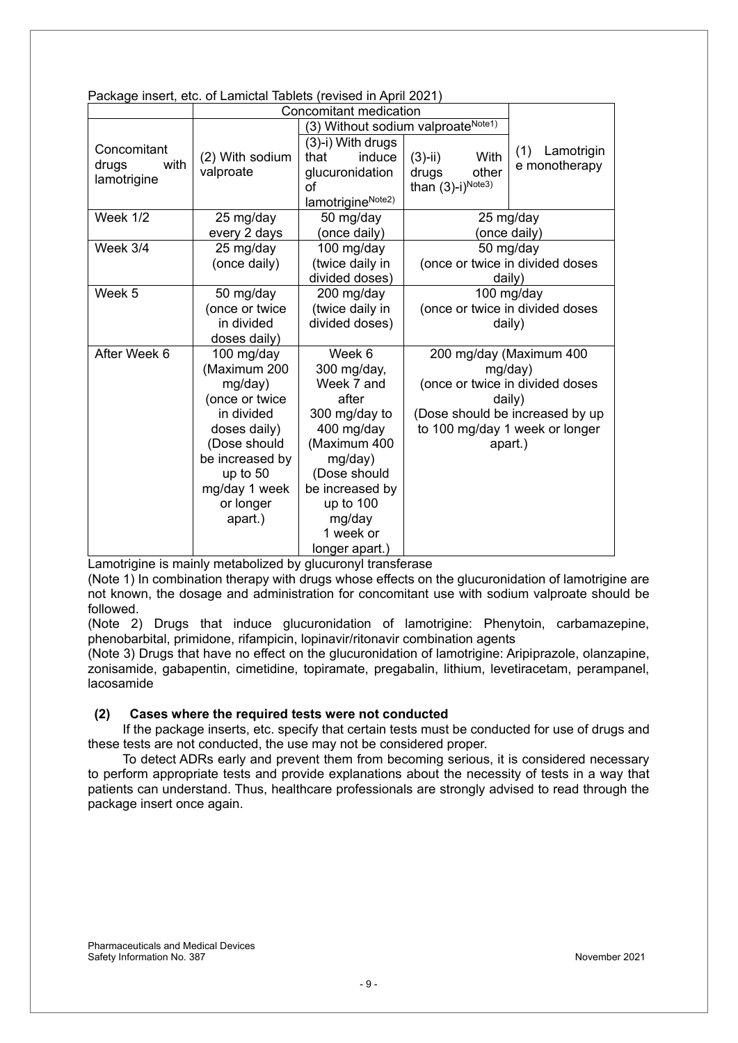|                                             | Concomitant medication                                                                                                                                                        |                                                                                                                                                                                                 |                                                                                                                                                                 |                                                        |
|---------------------------------------------|-------------------------------------------------------------------------------------------------------------------------------------------------------------------------------|-------------------------------------------------------------------------------------------------------------------------------------------------------------------------------------------------|-----------------------------------------------------------------------------------------------------------------------------------------------------------------|--------------------------------------------------------|
|                                             |                                                                                                                                                                               | (3) Without sodium valproate <sup>Note1)</sup>                                                                                                                                                  |                                                                                                                                                                 |                                                        |
| Concomitant<br>drugs<br>with<br>lamotrigine | (2) With sodium<br>valproate                                                                                                                                                  | $(3)-i)$ With drugs<br>induce<br>that<br>glucuronidation<br>οf<br>lamotrigineNote2)                                                                                                             | With<br>$(3)-ii)$<br>other<br>drugs<br>than $(3)$ -i) $^{Note3)}$                                                                                               | Lamotrigin<br>(1)<br>e monotherapy                     |
| Week 1/2                                    | 25 mg/day<br>every 2 days                                                                                                                                                     | 50 mg/day<br>(once daily)                                                                                                                                                                       |                                                                                                                                                                 | 25 mg/day<br>(once daily)                              |
| Week 3/4                                    | 25 mg/day<br>(once daily)                                                                                                                                                     | 100 mg/day<br>(twice daily in<br>divided doses)                                                                                                                                                 |                                                                                                                                                                 | 50 mg/day<br>(once or twice in divided doses<br>daily) |
| Week 5                                      | 50 mg/day<br>(once or twice<br>in divided<br>doses daily)                                                                                                                     | 200 mg/day<br>(twice daily in<br>divided doses)                                                                                                                                                 | 100 mg/day<br>(once or twice in divided doses<br>daily)                                                                                                         |                                                        |
| After Week 6                                | 100 mg/day<br>(Maximum 200<br>mg/day)<br>(once or twice<br>in divided<br>doses daily)<br>(Dose should<br>be increased by<br>up to 50<br>mg/day 1 week<br>or longer<br>apart.) | Week 6<br>300 mg/day,<br>Week 7 and<br>after<br>300 mg/day to<br>400 mg/day<br>(Maximum 400<br>mg/day)<br>(Dose should<br>be increased by<br>up to 100<br>mg/day<br>1 week or<br>longer apart.) | 200 mg/day (Maximum 400<br>mg/day)<br>(once or twice in divided doses<br>daily)<br>(Dose should be increased by up<br>to 100 mg/day 1 week or longer<br>apart.) |                                                        |

Package insert, etc. of Lamictal Tablets (revised in April 2021)

Lamotrigine is mainly metabolized by glucuronyl transferase

(Note 1) In combination therapy with drugs whose effects on the glucuronidation of lamotrigine are not known, the dosage and administration for concomitant use with sodium valproate should be followed.

(Note 2) Drugs that induce glucuronidation of lamotrigine: Phenytoin, carbamazepine, phenobarbital, primidone, rifampicin, lopinavir/ritonavir combination agents

(Note 3) Drugs that have no effect on the glucuronidation of lamotrigine: Aripiprazole, olanzapine, zonisamide, gabapentin, cimetidine, topiramate, pregabalin, lithium, levetiracetam, perampanel, lacosamide

#### **(2) Cases where the required tests were not conducted**

If the package inserts, etc. specify that certain tests must be conducted for use of drugs and these tests are not conducted, the use may not be considered proper.

To detect ADRs early and prevent them from becoming serious, it is considered necessary to perform appropriate tests and provide explanations about the necessity of tests in a way that patients can understand. Thus, healthcare professionals are strongly advised to read through the package insert once again.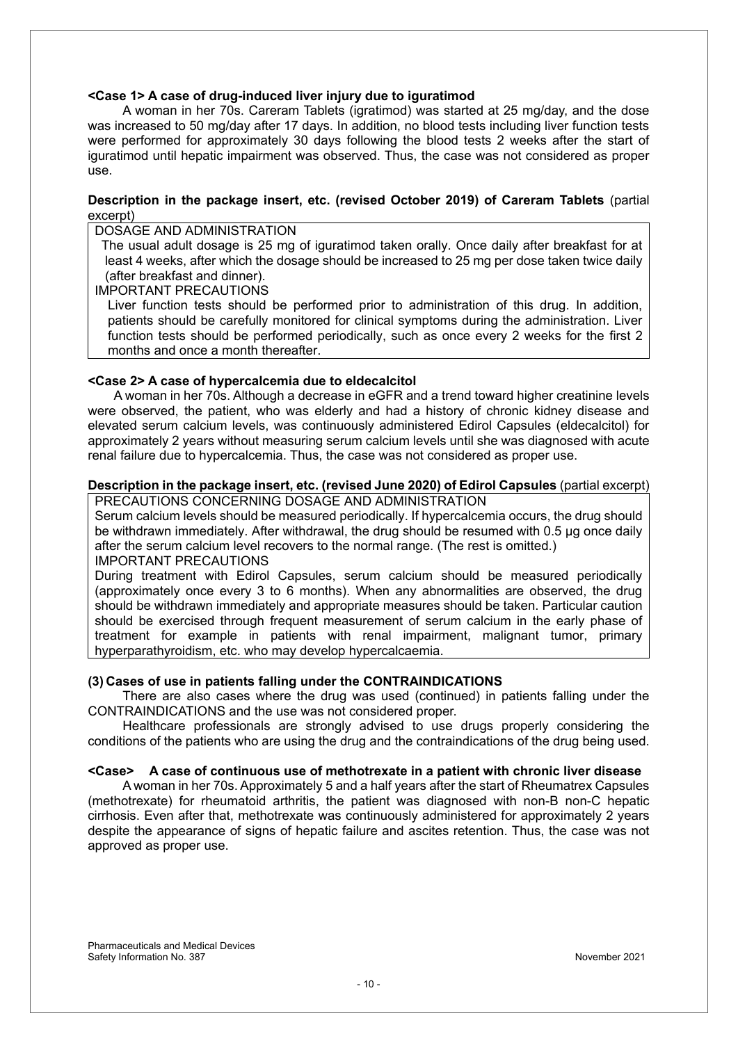#### **<Case 1> A case of drug-induced liver injury due to iguratimod**

A woman in her 70s. Careram Tablets (igratimod) was started at 25 mg/day, and the dose was increased to 50 mg/day after 17 days. In addition, no blood tests including liver function tests were performed for approximately 30 days following the blood tests 2 weeks after the start of iguratimod until hepatic impairment was observed. Thus, the case was not considered as proper use.

#### **Description in the package insert, etc. (revised October 2019) of Careram Tablets** (partial excerpt)

DOSAGE AND ADMINISTRATION

 The usual adult dosage is 25 mg of iguratimod taken orally. Once daily after breakfast for at least 4 weeks, after which the dosage should be increased to 25 mg per dose taken twice daily (after breakfast and dinner).

IMPORTANT PRECAUTIONS

 Liver function tests should be performed prior to administration of this drug. In addition, patients should be carefully monitored for clinical symptoms during the administration. Liver function tests should be performed periodically, such as once every 2 weeks for the first 2 months and once a month thereafter.

#### **<Case 2> A case of hypercalcemia due to eldecalcitol**

A woman in her 70s. Although a decrease in eGFR and a trend toward higher creatinine levels were observed, the patient, who was elderly and had a history of chronic kidney disease and elevated serum calcium levels, was continuously administered Edirol Capsules (eldecalcitol) for approximately 2 years without measuring serum calcium levels until she was diagnosed with acute renal failure due to hypercalcemia. Thus, the case was not considered as proper use.

### **Description in the package insert, etc. (revised June 2020) of Edirol Capsules** (partial excerpt)

PRECAUTIONS CONCERNING DOSAGE AND ADMINISTRATION

Serum calcium levels should be measured periodically. If hypercalcemia occurs, the drug should be withdrawn immediately. After withdrawal, the drug should be resumed with 0.5 μg once daily after the serum calcium level recovers to the normal range. (The rest is omitted.) IMPORTANT PRECAUTIONS

During treatment with Edirol Capsules, serum calcium should be measured periodically (approximately once every 3 to 6 months). When any abnormalities are observed, the drug should be withdrawn immediately and appropriate measures should be taken. Particular caution should be exercised through frequent measurement of serum calcium in the early phase of treatment for example in patients with renal impairment, malignant tumor, primary hyperparathyroidism, etc. who may develop hypercalcaemia.

#### **(3) Cases of use in patients falling under the CONTRAINDICATIONS**

There are also cases where the drug was used (continued) in patients falling under the CONTRAINDICATIONS and the use was not considered proper.

Healthcare professionals are strongly advised to use drugs properly considering the conditions of the patients who are using the drug and the contraindications of the drug being used.

#### **<Case> A case of continuous use of methotrexate in a patient with chronic liver disease**

A woman in her 70s. Approximately 5 and a half years after the start of Rheumatrex Capsules (methotrexate) for rheumatoid arthritis, the patient was diagnosed with non-B non-C hepatic cirrhosis. Even after that, methotrexate was continuously administered for approximately 2 years despite the appearance of signs of hepatic failure and ascites retention. Thus, the case was not approved as proper use.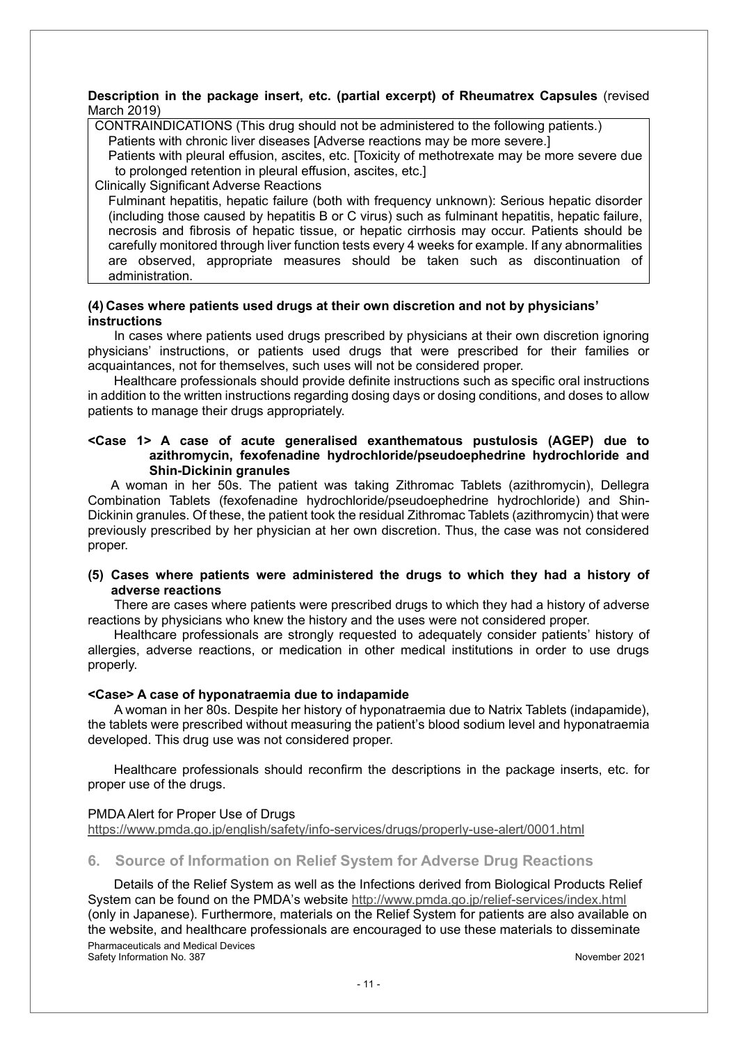#### **Description in the package insert, etc. (partial excerpt) of Rheumatrex Capsules** (revised March 2019)

CONTRAINDICATIONS (This drug should not be administered to the following patients.) Patients with chronic liver diseases [Adverse reactions may be more severe.]

Patients with pleural effusion, ascites, etc. [Toxicity of methotrexate may be more severe due to prolonged retention in pleural effusion, ascites, etc.]

Clinically Significant Adverse Reactions

Fulminant hepatitis, hepatic failure (both with frequency unknown): Serious hepatic disorder (including those caused by hepatitis B or C virus) such as fulminant hepatitis, hepatic failure, necrosis and fibrosis of hepatic tissue, or hepatic cirrhosis may occur. Patients should be carefully monitored through liver function tests every 4 weeks for example. If any abnormalities are observed, appropriate measures should be taken such as discontinuation of administration.

#### **(4) Cases where patients used drugs at their own discretion and not by physicians' instructions**

In cases where patients used drugs prescribed by physicians at their own discretion ignoring physicians' instructions, or patients used drugs that were prescribed for their families or acquaintances, not for themselves, such uses will not be considered proper.

Healthcare professionals should provide definite instructions such as specific oral instructions in addition to the written instructions regarding dosing days or dosing conditions, and doses to allow patients to manage their drugs appropriately.

#### **<Case 1> A case of acute generalised exanthematous pustulosis (AGEP) due to azithromycin, fexofenadine hydrochloride/pseudoephedrine hydrochloride and Shin-Dickinin granules**

A woman in her 50s. The patient was taking Zithromac Tablets (azithromycin), Dellegra Combination Tablets (fexofenadine hydrochloride/pseudoephedrine hydrochloride) and Shin-Dickinin granules. Of these, the patient took the residual Zithromac Tablets (azithromycin) that were previously prescribed by her physician at her own discretion. Thus, the case was not considered proper.

#### **(5) Cases where patients were administered the drugs to which they had a history of adverse reactions**

There are cases where patients were prescribed drugs to which they had a history of adverse reactions by physicians who knew the history and the uses were not considered proper.

Healthcare professionals are strongly requested to adequately consider patients' history of allergies, adverse reactions, or medication in other medical institutions in order to use drugs properly.

#### **<Case> A case of hyponatraemia due to indapamide**

A woman in her 80s. Despite her history of hyponatraemia due to Natrix Tablets (indapamide), the tablets were prescribed without measuring the patient's blood sodium level and hyponatraemia developed. This drug use was not considered proper.

Healthcare professionals should reconfirm the descriptions in the package inserts, etc. for proper use of the drugs.

#### PMDA Alert for Proper Use of Drugs https://www.pmda.go.jp/english/safety/info-services/drugs/properly-use-alert/0001.html

#### **6. Source of Information on Relief System for Adverse Drug Reactions**

Pharmaceuticals and Medical Devices Safety Information No. 387 November 2021 Details of the Relief System as well as the Infections derived from Biological Products Relief System can be found on the PMDA's website http://www.pmda.go.jp/relief-services/index.html (only in Japanese). Furthermore, materials on the Relief System for patients are also available on the website, and healthcare professionals are encouraged to use these materials to disseminate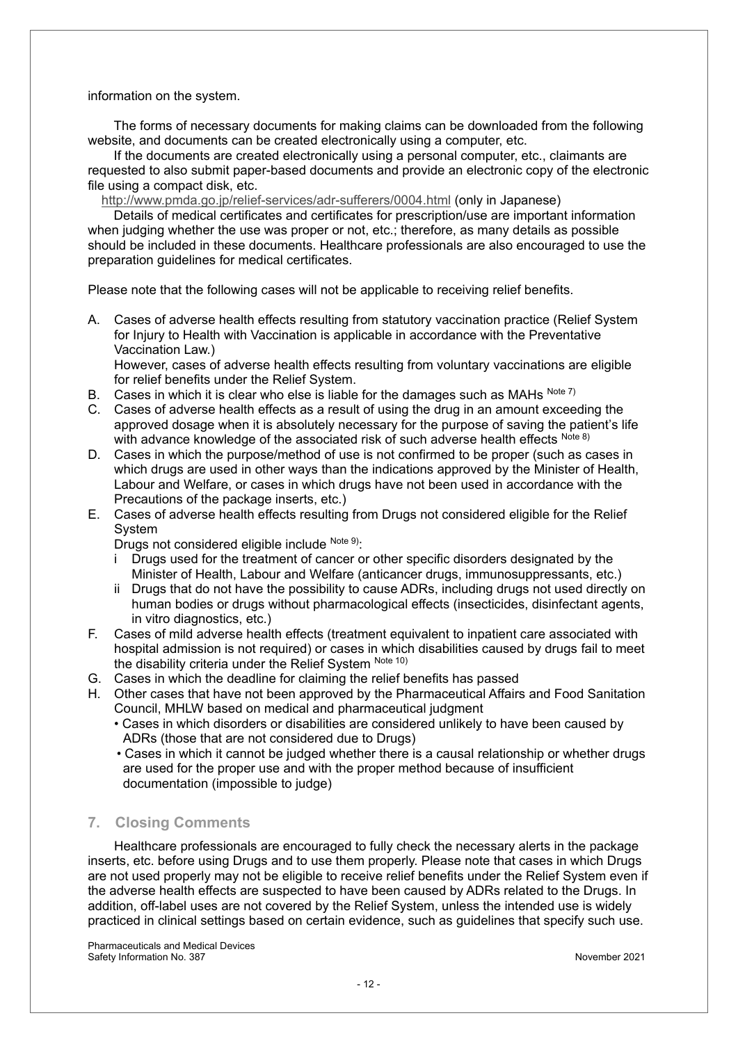information on the system.

The forms of necessary documents for making claims can be downloaded from the following website, and documents can be created electronically using a computer, etc.

If the documents are created electronically using a personal computer, etc., claimants are requested to also submit paper-based documents and provide an electronic copy of the electronic file using a compact disk, etc.

http://www.pmda.go.jp/relief-services/adr-sufferers/0004.html (only in Japanese)

Details of medical certificates and certificates for prescription/use are important information when judging whether the use was proper or not, etc.; therefore, as many details as possible should be included in these documents. Healthcare professionals are also encouraged to use the preparation guidelines for medical certificates.

Please note that the following cases will not be applicable to receiving relief benefits.

A. Cases of adverse health effects resulting from statutory vaccination practice (Relief System for Injury to Health with Vaccination is applicable in accordance with the Preventative Vaccination Law.)

However, cases of adverse health effects resulting from voluntary vaccinations are eligible for relief benefits under the Relief System.

- B. Cases in which it is clear who else is liable for the damages such as MAHs  $^{Note 7}$
- C. Cases of adverse health effects as a result of using the drug in an amount exceeding the approved dosage when it is absolutely necessary for the purpose of saving the patient's life with advance knowledge of the associated risk of such adverse health effects Note 8)
- D. Cases in which the purpose/method of use is not confirmed to be proper (such as cases in which drugs are used in other ways than the indications approved by the Minister of Health, Labour and Welfare, or cases in which drugs have not been used in accordance with the Precautions of the package inserts, etc.)
- E. Cases of adverse health effects resulting from Drugs not considered eligible for the Relief System

Drugs not considered eligible include Note 9):

- i Drugs used for the treatment of cancer or other specific disorders designated by the Minister of Health, Labour and Welfare (anticancer drugs, immunosuppressants, etc.)
- ii Drugs that do not have the possibility to cause ADRs, including drugs not used directly on human bodies or drugs without pharmacological effects (insecticides, disinfectant agents, in vitro diagnostics, etc.)
- F. Cases of mild adverse health effects (treatment equivalent to inpatient care associated with hospital admission is not required) or cases in which disabilities caused by drugs fail to meet the disability criteria under the Relief System Note 10)
- G. Cases in which the deadline for claiming the relief benefits has passed
- H. Other cases that have not been approved by the Pharmaceutical Affairs and Food Sanitation Council, MHLW based on medical and pharmaceutical judgment
	- Cases in which disorders or disabilities are considered unlikely to have been caused by ADRs (those that are not considered due to Drugs)
	- Cases in which it cannot be judged whether there is a causal relationship or whether drugs are used for the proper use and with the proper method because of insufficient documentation (impossible to judge)

#### **7. Closing Comments**

Healthcare professionals are encouraged to fully check the necessary alerts in the package inserts, etc. before using Drugs and to use them properly. Please note that cases in which Drugs are not used properly may not be eligible to receive relief benefits under the Relief System even if the adverse health effects are suspected to have been caused by ADRs related to the Drugs. In addition, off-label uses are not covered by the Relief System, unless the intended use is widely practiced in clinical settings based on certain evidence, such as guidelines that specify such use.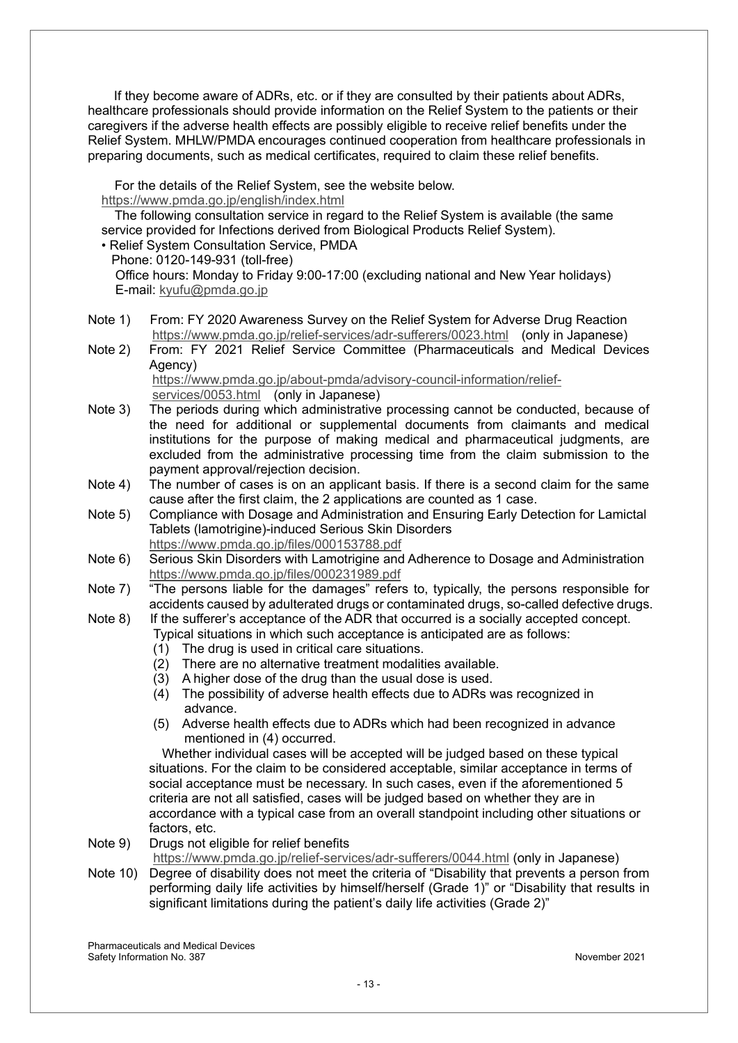If they become aware of ADRs, etc. or if they are consulted by their patients about ADRs, healthcare professionals should provide information on the Relief System to the patients or their caregivers if the adverse health effects are possibly eligible to receive relief benefits under the Relief System. MHLW/PMDA encourages continued cooperation from healthcare professionals in preparing documents, such as medical certificates, required to claim these relief benefits.

For the details of the Relief System, see the website below.

#### https://www.pmda.go.jp/english/index.html

The following consultation service in regard to the Relief System is available (the same service provided for Infections derived from Biological Products Relief System).

• Relief System Consultation Service, PMDA

Phone: 0120-149-931 (toll-free) Office hours: Monday to Friday 9:00-17:00 (excluding national and New Year holidays) E-mail: kyufu@pmda.go.jp

- Note 1) From: FY 2020 Awareness Survey on the Relief System for Adverse Drug Reaction https://www.pmda.go.jp/relief-services/adr-sufferers/0023.html (only in Japanese)
- Note 2) From: FY 2021 Relief Service Committee (Pharmaceuticals and Medical Devices Agency)

https://www.pmda.go.jp/about-pmda/advisory-council-information/reliefservices/0053.html (only in Japanese)

- Note 3) The periods during which administrative processing cannot be conducted, because of the need for additional or supplemental documents from claimants and medical institutions for the purpose of making medical and pharmaceutical judgments, are excluded from the administrative processing time from the claim submission to the payment approval/rejection decision.
- Note 4) The number of cases is on an applicant basis. If there is a second claim for the same cause after the first claim, the 2 applications are counted as 1 case.
- Note 5) Compliance with Dosage and Administration and Ensuring Early Detection for Lamictal Tablets (lamotrigine)-induced Serious Skin Disorders https://www.pmda.go.jp/files/000153788.pdf
- Note 6) Serious Skin Disorders with Lamotrigine and Adherence to Dosage and Administration https://www.pmda.go.jp/files/000231989.pdf
- Note 7) "The persons liable for the damages" refers to, typically, the persons responsible for accidents caused by adulterated drugs or contaminated drugs, so-called defective drugs.
- Note 8) If the sufferer's acceptance of the ADR that occurred is a socially accepted concept. Typical situations in which such acceptance is anticipated are as follows:
	- (1) The drug is used in critical care situations.
	- (2) There are no alternative treatment modalities available.
	- (3) A higher dose of the drug than the usual dose is used.
	- (4) The possibility of adverse health effects due to ADRs was recognized in advance.
	- (5) Adverse health effects due to ADRs which had been recognized in advance mentioned in (4) occurred.

Whether individual cases will be accepted will be judged based on these typical situations. For the claim to be considered acceptable, similar acceptance in terms of social acceptance must be necessary. In such cases, even if the aforementioned 5 criteria are not all satisfied, cases will be judged based on whether they are in accordance with a typical case from an overall standpoint including other situations or factors, etc.

Note 9) Drugs not eligible for relief benefits

https://www.pmda.go.jp/relief-services/adr-sufferers/0044.html (only in Japanese)

Note 10) Degree of disability does not meet the criteria of "Disability that prevents a person from performing daily life activities by himself/herself (Grade 1)" or "Disability that results in significant limitations during the patient's daily life activities (Grade 2)"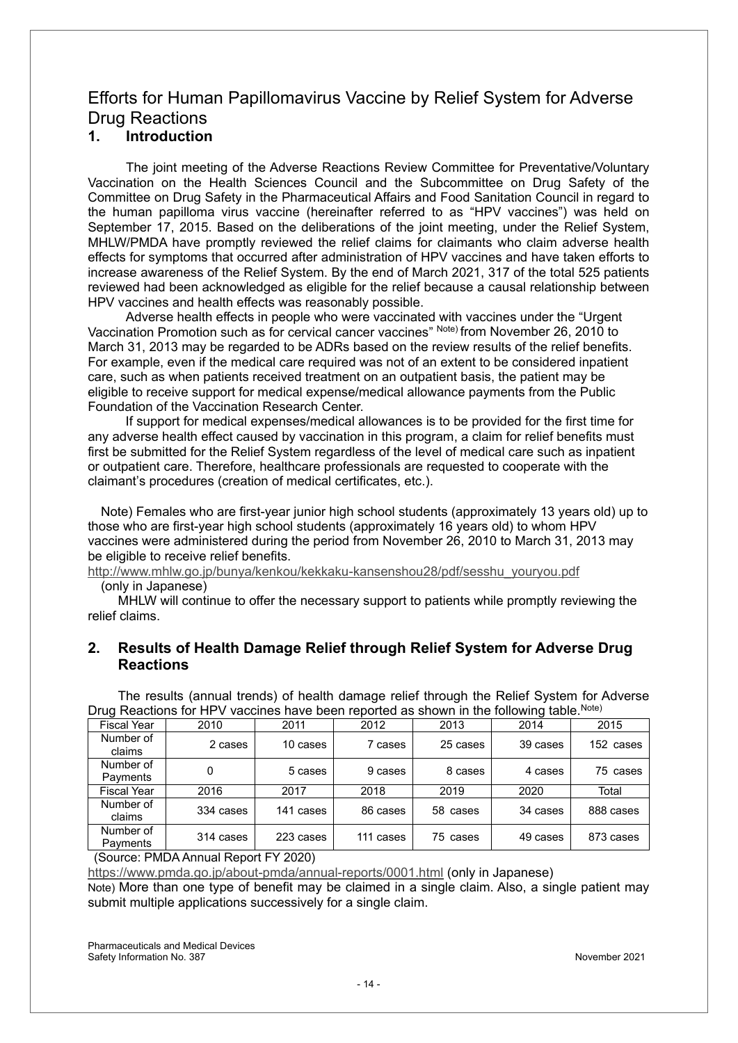### Efforts for Human Papillomavirus Vaccine by Relief System for Adverse Drug Reactions

#### **1. Introduction**

The joint meeting of the Adverse Reactions Review Committee for Preventative/Voluntary Vaccination on the Health Sciences Council and the Subcommittee on Drug Safety of the Committee on Drug Safety in the Pharmaceutical Affairs and Food Sanitation Council in regard to the human papilloma virus vaccine (hereinafter referred to as "HPV vaccines") was held on September 17, 2015. Based on the deliberations of the joint meeting, under the Relief System, MHLW/PMDA have promptly reviewed the relief claims for claimants who claim adverse health effects for symptoms that occurred after administration of HPV vaccines and have taken efforts to increase awareness of the Relief System. By the end of March 2021, 317 of the total 525 patients reviewed had been acknowledged as eligible for the relief because a causal relationship between HPV vaccines and health effects was reasonably possible.

Adverse health effects in people who were vaccinated with vaccines under the "Urgent Vaccination Promotion such as for cervical cancer vaccines" Note) from November 26, 2010 to March 31, 2013 may be regarded to be ADRs based on the review results of the relief benefits. For example, even if the medical care required was not of an extent to be considered inpatient care, such as when patients received treatment on an outpatient basis, the patient may be eligible to receive support for medical expense/medical allowance payments from the Public Foundation of the Vaccination Research Center.

If support for medical expenses/medical allowances is to be provided for the first time for any adverse health effect caused by vaccination in this program, a claim for relief benefits must first be submitted for the Relief System regardless of the level of medical care such as inpatient or outpatient care. Therefore, healthcare professionals are requested to cooperate with the claimant's procedures (creation of medical certificates, etc.).

Note) Females who are first-year junior high school students (approximately 13 years old) up to those who are first-year high school students (approximately 16 years old) to whom HPV vaccines were administered during the period from November 26, 2010 to March 31, 2013 may be eligible to receive relief benefits.

http://www.mhlw.go.jp/bunya/kenkou/kekkaku-kansenshou28/pdf/sesshu\_youryou.pdf

(only in Japanese)

MHLW will continue to offer the necessary support to patients while promptly reviewing the relief claims.

#### **2. Results of Health Damage Relief through Relief System for Adverse Drug Reactions**

The results (annual trends) of health damage relief through the Relief System for Adverse Drug Reactions for HPV vaccines have been reported as shown in the following table.<sup>Note)</sup>

| <b>Fiscal Year</b>    | 2010      | 2011      | 2012      | 2013     | 2014     | 2015      |
|-----------------------|-----------|-----------|-----------|----------|----------|-----------|
| Number of<br>claims   | 2 cases   | 10 cases  | 7 cases   | 25 cases | 39 cases | 152 cases |
| Number of<br>Payments | 0         | 5 cases   | 9 cases   | 8 cases  | 4 cases  | 75 cases  |
| <b>Fiscal Year</b>    | 2016      | 2017      | 2018      | 2019     | 2020     | Total     |
| Number of<br>claims   | 334 cases | 141 cases | 86 cases  | 58 cases | 34 cases | 888 cases |
| Number of<br>Payments | 314 cases | 223 cases | 111 cases | 75 cases | 49 cases | 873 cases |

(Source: PMDA Annual Report FY 2020)

https://www.pmda.go.jp/about-pmda/annual-reports/0001.html (only in Japanese)

Note) More than one type of benefit may be claimed in a single claim. Also, a single patient may submit multiple applications successively for a single claim.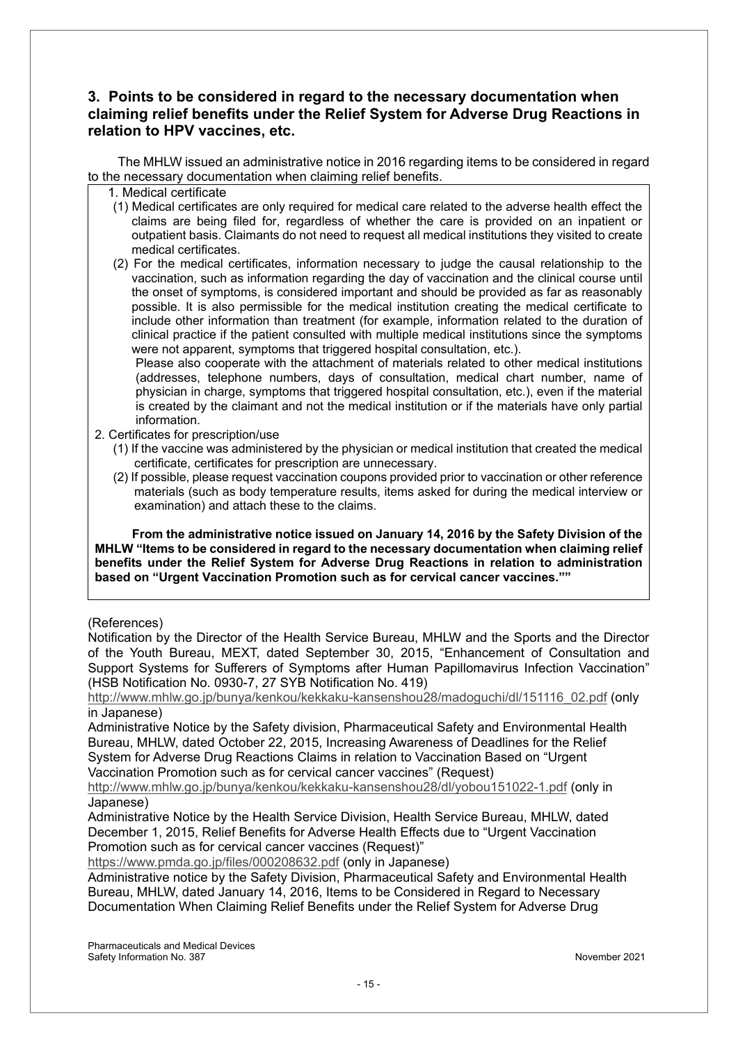#### **3. Points to be considered in regard to the necessary documentation when claiming relief benefits under the Relief System for Adverse Drug Reactions in relation to HPV vaccines, etc.**

The MHLW issued an administrative notice in 2016 regarding items to be considered in regard to the necessary documentation when claiming relief benefits.

- 1. Medical certificate
- (1) Medical certificates are only required for medical care related to the adverse health effect the claims are being filed for, regardless of whether the care is provided on an inpatient or outpatient basis. Claimants do not need to request all medical institutions they visited to create medical certificates.
- (2) For the medical certificates, information necessary to judge the causal relationship to the vaccination, such as information regarding the day of vaccination and the clinical course until the onset of symptoms, is considered important and should be provided as far as reasonably possible. It is also permissible for the medical institution creating the medical certificate to include other information than treatment (for example, information related to the duration of clinical practice if the patient consulted with multiple medical institutions since the symptoms were not apparent, symptoms that triggered hospital consultation, etc.).

Please also cooperate with the attachment of materials related to other medical institutions (addresses, telephone numbers, days of consultation, medical chart number, name of physician in charge, symptoms that triggered hospital consultation, etc.), even if the material is created by the claimant and not the medical institution or if the materials have only partial information.

- 2. Certificates for prescription/use
	- (1) If the vaccine was administered by the physician or medical institution that created the medical certificate, certificates for prescription are unnecessary.
	- (2) If possible, please request vaccination coupons provided prior to vaccination or other reference materials (such as body temperature results, items asked for during the medical interview or examination) and attach these to the claims.

**From the administrative notice issued on January 14, 2016 by the Safety Division of the MHLW "Items to be considered in regard to the necessary documentation when claiming relief benefits under the Relief System for Adverse Drug Reactions in relation to administration based on "Urgent Vaccination Promotion such as for cervical cancer vaccines.""**

#### (References)

Notification by the Director of the Health Service Bureau, MHLW and the Sports and the Director of the Youth Bureau, MEXT, dated September 30, 2015, "Enhancement of Consultation and Support Systems for Sufferers of Symptoms after Human Papillomavirus Infection Vaccination" (HSB Notification No. 0930-7, 27 SYB Notification No. 419)

http://www.mhlw.go.jp/bunya/kenkou/kekkaku-kansenshou28/madoguchi/dl/151116\_02.pdf (only in Japanese)

Administrative Notice by the Safety division, Pharmaceutical Safety and Environmental Health Bureau, MHLW, dated October 22, 2015, Increasing Awareness of Deadlines for the Relief System for Adverse Drug Reactions Claims in relation to Vaccination Based on "Urgent Vaccination Promotion such as for cervical cancer vaccines" (Request)

http://www.mhlw.go.jp/bunya/kenkou/kekkaku-kansenshou28/dl/yobou151022-1.pdf (only in Japanese)

Administrative Notice by the Health Service Division, Health Service Bureau, MHLW, dated December 1, 2015, Relief Benefits for Adverse Health Effects due to "Urgent Vaccination Promotion such as for cervical cancer vaccines (Request)"

https://www.pmda.go.jp/files/000208632.pdf (only in Japanese)

Administrative notice by the Safety Division, Pharmaceutical Safety and Environmental Health Bureau, MHLW, dated January 14, 2016, Items to be Considered in Regard to Necessary Documentation When Claiming Relief Benefits under the Relief System for Adverse Drug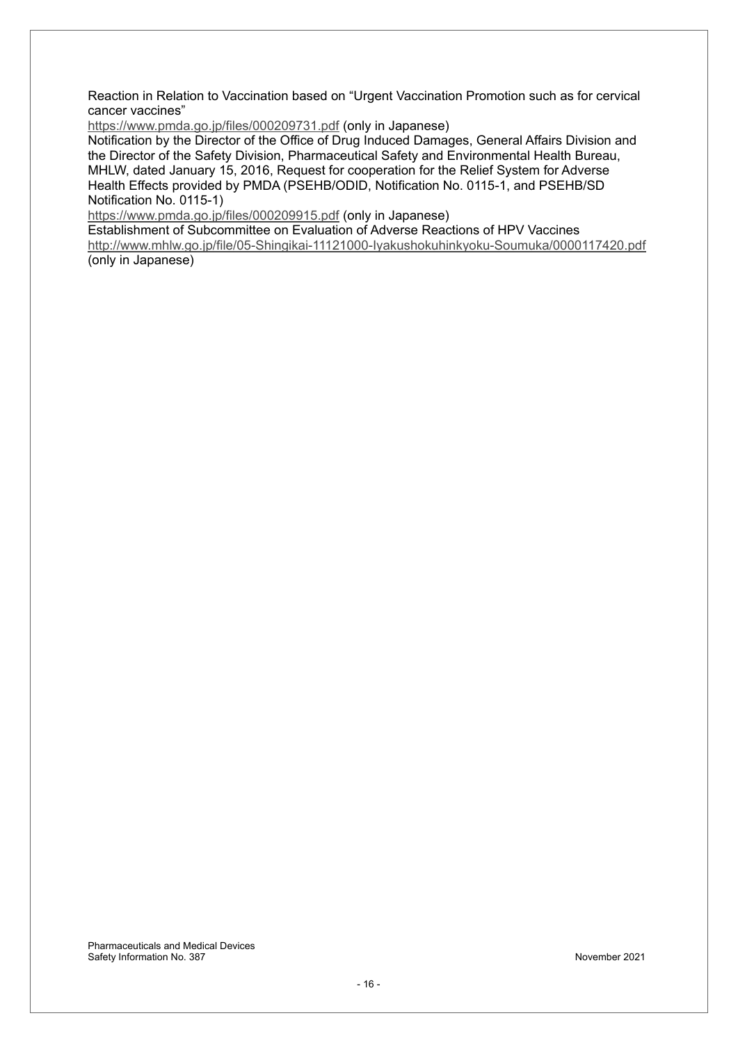Reaction in Relation to Vaccination based on "Urgent Vaccination Promotion such as for cervical cancer vaccines"

https://www.pmda.go.jp/files/000209731.pdf (only in Japanese)

Notification by the Director of the Office of Drug Induced Damages, General Affairs Division and the Director of the Safety Division, Pharmaceutical Safety and Environmental Health Bureau, MHLW, dated January 15, 2016, Request for cooperation for the Relief System for Adverse Health Effects provided by PMDA (PSEHB/ODID, Notification No. 0115-1, and PSEHB/SD Notification No. 0115-1)

https://www.pmda.go.jp/files/000209915.pdf (only in Japanese)

Establishment of Subcommittee on Evaluation of Adverse Reactions of HPV Vaccines http://www.mhlw.go.jp/file/05-Shingikai-11121000-Iyakushokuhinkyoku-Soumuka/0000117420.pdf (only in Japanese)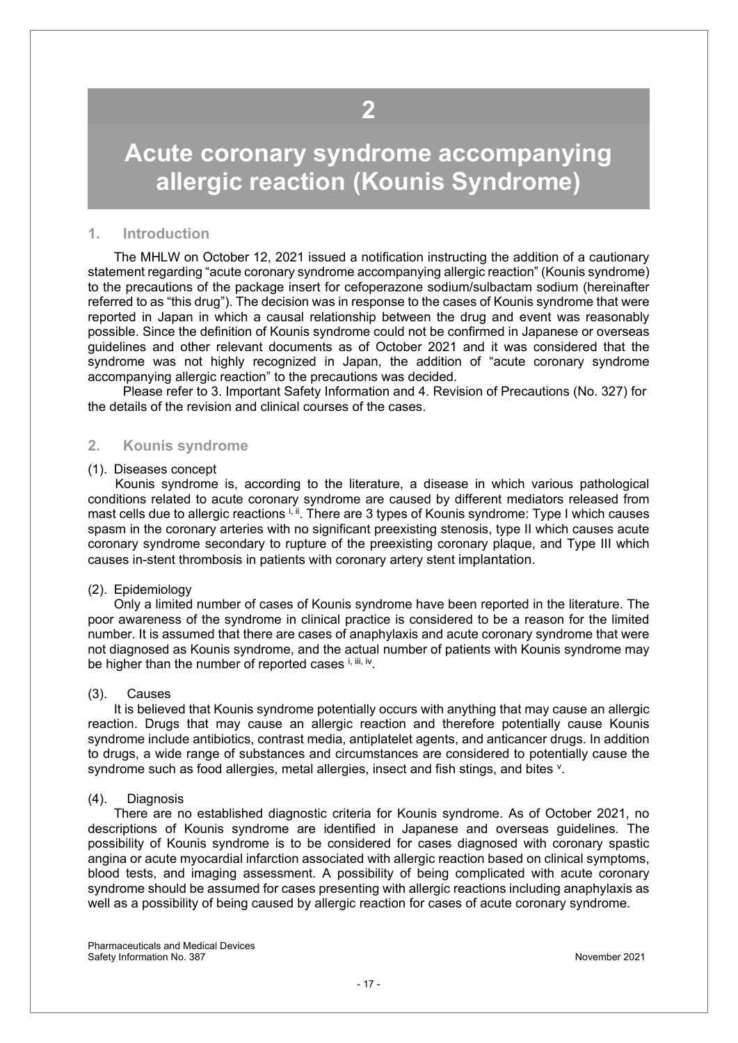## <span id="page-16-0"></span>**Acute coronary syndrome accompanying allergic reaction (Kounis Syndrome)**

#### **1. Introduction**

 The MHLW on October 12, 2021 issued a notification instructing the addition of a cautionary statement regarding "acute coronary syndrome accompanying allergic reaction" (Kounis syndrome) to the precautions of the package insert for cefoperazone sodium/sulbactam sodium (hereinafter referred to as "this drug"). The decision was in response to the cases of Kounis syndrome that were reported in Japan in which a causal relationship between the drug and event was reasonably possible. Since the definition of Kounis syndrome could not be confirmed in Japanese or overseas guidelines and other relevant documents as of October 2021 and it was considered that the syndrome was not highly recognized in Japan, the addition of "acute coronary syndrome accompanying allergic reaction" to the precautions was decided.

 Please refer to 3. Important Safety Information and 4. Revision of Precautions (No. 327) for the details of the revision and clinical courses of the cases.

#### **2. Kounis syndrome**

#### (1). Diseases concept

 Kounis syndrome is, according to the literature, a disease in which various pathological conditions related to acute coronary syndrome are caused by different mediators released from mast cells due to allergic reactions i, ii. There are 3 types of Kounis syndrome: Type I which causes spasm in the coronary arteries with no significant preexisting stenosis, type II which causes acute coronary syndrome secondary to rupture of the preexisting coronary plaque, and Type III which causes in-stent thrombosis in patients with coronary artery stent implantation.

#### (2). Epidemiology

 Only a limited number of cases of Kounis syndrome have been reported in the literature. The poor awareness of the syndrome in clinical practice is considered to be a reason for the limited number. It is assumed that there are cases of anaphylaxis and acute coronary syndrome that were not diagnosed as Kounis syndrome, and the actual number of patients with Kounis syndrome may be higher than the number of reported cases  $i$ ,  $iii$ , iv.

#### (3). Causes

 It is believed that Kounis syndrome potentially occurs with anything that may cause an allergic reaction. Drugs that may cause an allergic reaction and therefore potentially cause Kounis syndrome include antibiotics, contrast media, antiplatelet agents, and anticancer drugs. In addition to drugs, a wide range of substances and circumstances are considered to potentially cause the syndrome such as food allergies, metal allergies, insect and fish stings, and bites <sup>v</sup>.

#### (4). Diagnosis

 There are no established diagnostic criteria for Kounis syndrome. As of October 2021, no descriptions of Kounis syndrome are identified in Japanese and overseas guidelines. The possibility of Kounis syndrome is to be considered for cases diagnosed with coronary spastic angina or acute myocardial infarction associated with allergic reaction based on clinical symptoms, blood tests, and imaging assessment. A possibility of being complicated with acute coronary syndrome should be assumed for cases presenting with allergic reactions including anaphylaxis as well as a possibility of being caused by allergic reaction for cases of acute coronary syndrome.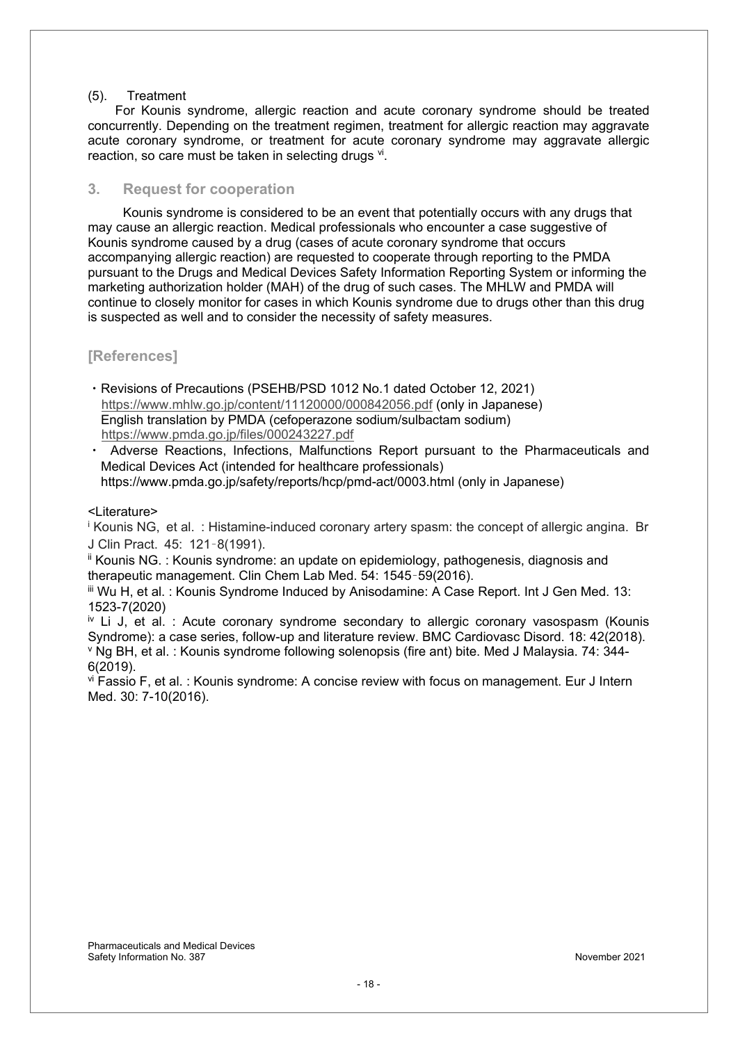#### (5). Treatment

 For Kounis syndrome, allergic reaction and acute coronary syndrome should be treated concurrently. Depending on the treatment regimen, treatment for allergic reaction may aggravate acute coronary syndrome, or treatment for acute coronary syndrome may aggravate allergic reaction, so care must be taken in selecting drugs vi.

#### **3. Request for cooperation**

Kounis syndrome is considered to be an event that potentially occurs with any drugs that may cause an allergic reaction. Medical professionals who encounter a case suggestive of Kounis syndrome caused by a drug (cases of acute coronary syndrome that occurs accompanying allergic reaction) are requested to cooperate through reporting to the PMDA pursuant to the Drugs and Medical Devices Safety Information Reporting System or informing the marketing authorization holder (MAH) of the drug of such cases. The MHLW and PMDA will continue to closely monitor for cases in which Kounis syndrome due to drugs other than this drug is suspected as well and to consider the necessity of safety measures.

#### **[References]**

- ࣭Revisions of Precautions (PSEHB/PSD 1012 No.1 dated October 12, 2021) https://www.mhlw.go.jp/content/11120000/000842056.pdf (only in Japanese) English translation by PMDA (cefoperazone sodium/sulbactam sodium) https://www.pmda.go.jp/files/000243227.pdf
- ࣭ Adverse Reactions, Infections, Malfunctions Report pursuant to the Pharmaceuticals and Medical Devices Act (intended for healthcare professionals) https://www.pmda.go.jp/safety/reports/hcp/pmd-act/0003.html (only in Japanese)

<Literature>

<sup>i</sup> Kounis NG, et al. : Histamine-induced coronary artery spasm: the concept of allergic angina. Br J Clin Pract. 45: 121̽8(1991).

ii Kounis NG. : Kounis syndrome: an update on epidemiology, pathogenesis, diagnosis and therapeutic management. Clin Chem Lab Med. 54: 1545-59(2016).

iii Wu H, et al. : Kounis Syndrome Induced by Anisodamine: A Case Report. Int J Gen Med. 13: 1523-7(2020)

 $\overline{y}$  Li J, et al. : Acute coronary syndrome secondary to allergic coronary vasospasm (Kounis Syndrome): a case series, follow-up and literature review. BMC Cardiovasc Disord, 18: 42(2018). <sup>v</sup> Ng BH, et al. : Kounis syndrome following solenopsis (fire ant) bite. Med J Malaysia. 74: 344-6(2019).

vi Fassio F, et al. : Kounis syndrome: A concise review with focus on management. Eur J Intern Med. 30: 7-10(2016).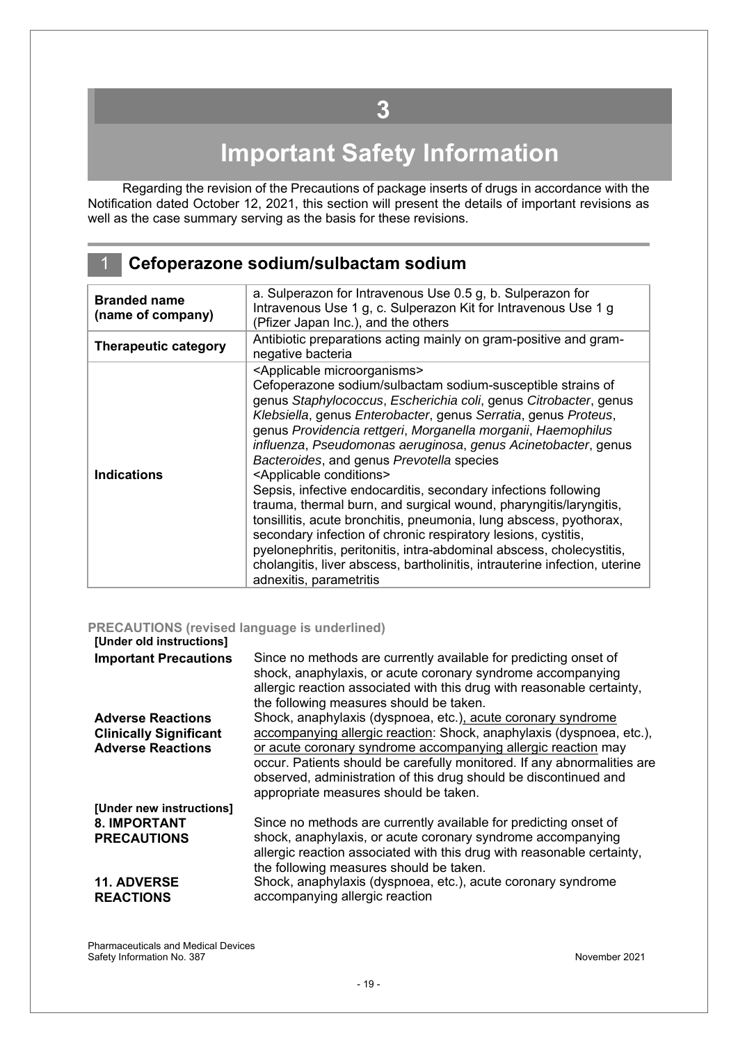# **Important Safety Information**

<span id="page-18-0"></span>Regarding the revision of the Precautions of package inserts of drugs in accordance with the Notification dated October 12, 2021, this section will present the details of important revisions as well as the case summary serving as the basis for these revisions.

### 1 **Cefoperazone sodium/sulbactam sodium**

| <b>Branded name</b><br>(name of company) | a. Sulperazon for Intravenous Use 0.5 g, b. Sulperazon for<br>Intravenous Use 1 g, c. Sulperazon Kit for Intravenous Use 1 g<br>(Pfizer Japan Inc.), and the others                                                                                                                                                                                                                                                                                                                                                                                                                                                                                                                                                                                                                                                                                                                                                                                    |
|------------------------------------------|--------------------------------------------------------------------------------------------------------------------------------------------------------------------------------------------------------------------------------------------------------------------------------------------------------------------------------------------------------------------------------------------------------------------------------------------------------------------------------------------------------------------------------------------------------------------------------------------------------------------------------------------------------------------------------------------------------------------------------------------------------------------------------------------------------------------------------------------------------------------------------------------------------------------------------------------------------|
| <b>Therapeutic category</b>              | Antibiotic preparations acting mainly on gram-positive and gram-<br>negative bacteria                                                                                                                                                                                                                                                                                                                                                                                                                                                                                                                                                                                                                                                                                                                                                                                                                                                                  |
| <b>Indications</b>                       | <applicable microorganisms=""><br/>Cefoperazone sodium/sulbactam sodium-susceptible strains of<br/>genus Staphylococcus, Escherichia coli, genus Citrobacter, genus<br/>Klebsiella, genus Enterobacter, genus Serratia, genus Proteus,<br/>genus Providencia rettgeri, Morganella morganii, Haemophilus<br/>influenza, Pseudomonas aeruginosa, genus Acinetobacter, genus<br/>Bacteroides, and genus Prevotella species<br/><applicable conditions=""><br/>Sepsis, infective endocarditis, secondary infections following<br/>trauma, thermal burn, and surgical wound, pharyngitis/laryngitis,<br/>tonsillitis, acute bronchitis, pneumonia, lung abscess, pyothorax,<br/>secondary infection of chronic respiratory lesions, cystitis,<br/>pyelonephritis, peritonitis, intra-abdominal abscess, cholecystitis,<br/>cholangitis, liver abscess, bartholinitis, intrauterine infection, uterine<br/>adnexitis, parametritis</applicable></applicable> |

#### **PRECAUTIONS (revised language is underlined)**

#### **[Under old instructions]**

| ן טווטטו טוט ווואר                     |                                                                                                                                                                                                                                                       |
|----------------------------------------|-------------------------------------------------------------------------------------------------------------------------------------------------------------------------------------------------------------------------------------------------------|
| <b>Important Precautions</b>           | Since no methods are currently available for predicting onset of<br>shock, anaphylaxis, or acute coronary syndrome accompanying<br>allergic reaction associated with this drug with reasonable certainty,<br>the following measures should be taken.  |
| <b>Adverse Reactions</b>               | Shock, anaphylaxis (dyspnoea, etc.), acute coronary syndrome                                                                                                                                                                                          |
| <b>Clinically Significant</b>          | accompanying allergic reaction: Shock, anaphylaxis (dyspnoea, etc.),                                                                                                                                                                                  |
| <b>Adverse Reactions</b>               | or acute coronary syndrome accompanying allergic reaction may<br>occur. Patients should be carefully monitored. If any abnormalities are<br>observed, administration of this drug should be discontinued and<br>appropriate measures should be taken. |
| [Under new instructions]               |                                                                                                                                                                                                                                                       |
| 8. IMPORTANT                           | Since no methods are currently available for predicting onset of                                                                                                                                                                                      |
| <b>PRECAUTIONS</b>                     | shock, anaphylaxis, or acute coronary syndrome accompanying<br>allergic reaction associated with this drug with reasonable certainty,<br>the following measures should be taken.                                                                      |
| <b>11. ADVERSE</b><br><b>REACTIONS</b> | Shock, anaphylaxis (dyspnoea, etc.), acute coronary syndrome<br>accompanying allergic reaction                                                                                                                                                        |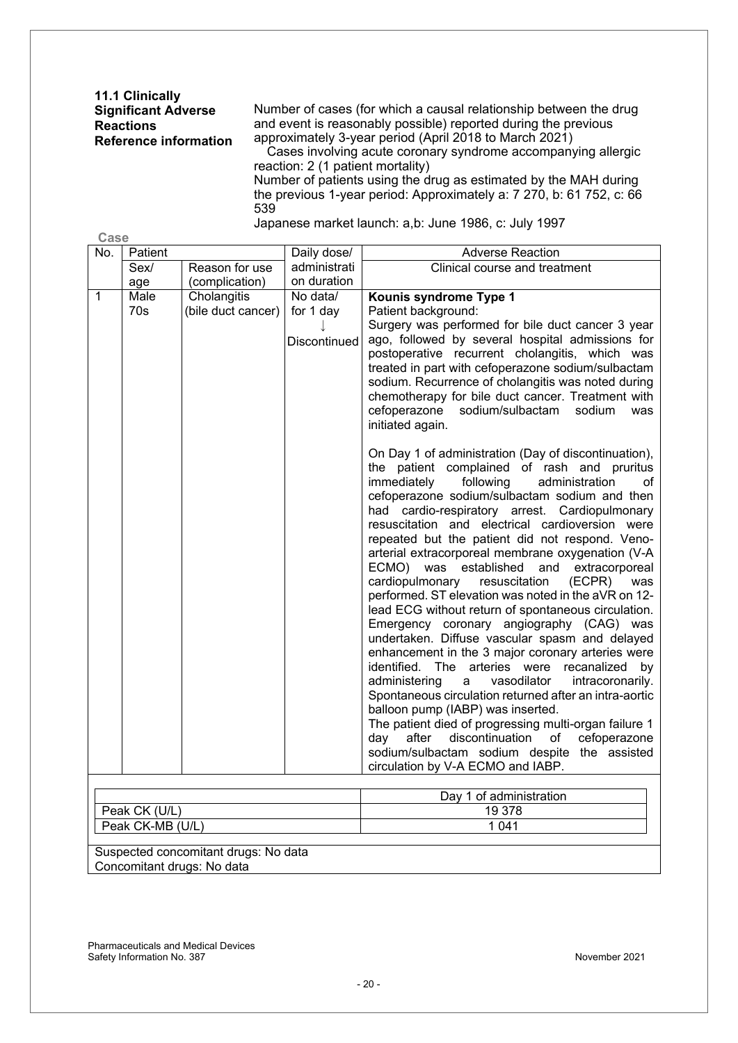**11.1 Clinically Significant Adverse Reactions Reference information** 

**Case**

Number of cases (for which a causal relationship between the drug and event is reasonably possible) reported during the previous approximately 3-year period (April 2018 to March 2021)

Cases involving acute coronary syndrome accompanying allergic reaction: 2 (1 patient mortality)

Number of patients using the drug as estimated by the MAH during the previous 1-year period: Approximately a: 7 270, b: 61 752, c: 66 539

Japanese market launch: a,b: June 1986, c: July 1997

| No.              | Patient       |                    | Daily dose/         | <b>Adverse Reaction</b>                                                                                                                                 |
|------------------|---------------|--------------------|---------------------|---------------------------------------------------------------------------------------------------------------------------------------------------------|
|                  | Sex/          | Reason for use     | administrati        | Clinical course and treatment                                                                                                                           |
|                  | age           | (complication)     | on duration         |                                                                                                                                                         |
| $\mathbf{1}$     | Male          | Cholangitis        | No data/            | Kounis syndrome Type 1                                                                                                                                  |
|                  | 70s           | (bile duct cancer) | for 1 day           | Patient background:                                                                                                                                     |
|                  |               |                    |                     | Surgery was performed for bile duct cancer 3 year                                                                                                       |
|                  |               |                    | <b>Discontinued</b> | ago, followed by several hospital admissions for<br>postoperative recurrent cholangitis, which was                                                      |
|                  |               |                    |                     | treated in part with cefoperazone sodium/sulbactam                                                                                                      |
|                  |               |                    |                     | sodium. Recurrence of cholangitis was noted during                                                                                                      |
|                  |               |                    |                     | chemotherapy for bile duct cancer. Treatment with                                                                                                       |
|                  |               |                    |                     | cefoperazone<br>sodium/sulbactam<br>sodium<br>was                                                                                                       |
|                  |               |                    |                     | initiated again.                                                                                                                                        |
|                  |               |                    |                     | On Day 1 of administration (Day of discontinuation),<br>the patient complained of rash and pruritus<br>immediately<br>following<br>administration<br>of |
|                  |               |                    |                     | cefoperazone sodium/sulbactam sodium and then<br>had cardio-respiratory arrest. Cardiopulmonary                                                         |
|                  |               |                    |                     | resuscitation and electrical cardioversion were<br>repeated but the patient did not respond. Veno-                                                      |
|                  |               |                    |                     | arterial extracorporeal membrane oxygenation (V-A                                                                                                       |
|                  |               |                    |                     | ECMO) was established and extracorporeal<br>cardiopulmonary<br>resuscitation<br>(ECPR)<br>was                                                           |
|                  |               |                    |                     | performed. ST elevation was noted in the aVR on 12-<br>lead ECG without return of spontaneous circulation.                                              |
|                  |               |                    |                     | Emergency coronary angiography (CAG) was                                                                                                                |
|                  |               |                    |                     | undertaken. Diffuse vascular spasm and delayed                                                                                                          |
|                  |               |                    |                     | enhancement in the 3 major coronary arteries were                                                                                                       |
|                  |               |                    |                     | identified. The<br>arteries were<br>recanalized<br>by                                                                                                   |
|                  |               |                    |                     | administering<br>vasodilator<br>intracoronarily.<br>a                                                                                                   |
|                  |               |                    |                     | Spontaneous circulation returned after an intra-aortic                                                                                                  |
|                  |               |                    |                     | balloon pump (IABP) was inserted.<br>The patient died of progressing multi-organ failure 1                                                              |
|                  |               |                    |                     | cefoperazone<br>after<br>discontinuation<br>of<br>dav                                                                                                   |
|                  |               |                    |                     | sodium/sulbactam sodium despite the assisted                                                                                                            |
|                  |               |                    |                     | circulation by V-A ECMO and IABP.                                                                                                                       |
|                  |               |                    |                     |                                                                                                                                                         |
|                  |               |                    |                     | Day 1 of administration                                                                                                                                 |
|                  | Peak CK (U/L) |                    |                     | 19 378                                                                                                                                                  |
| Peak CK-MB (U/L) |               |                    |                     | 1 0 4 1                                                                                                                                                 |

Suspected concomitant drugs: No data Concomitant drugs: No data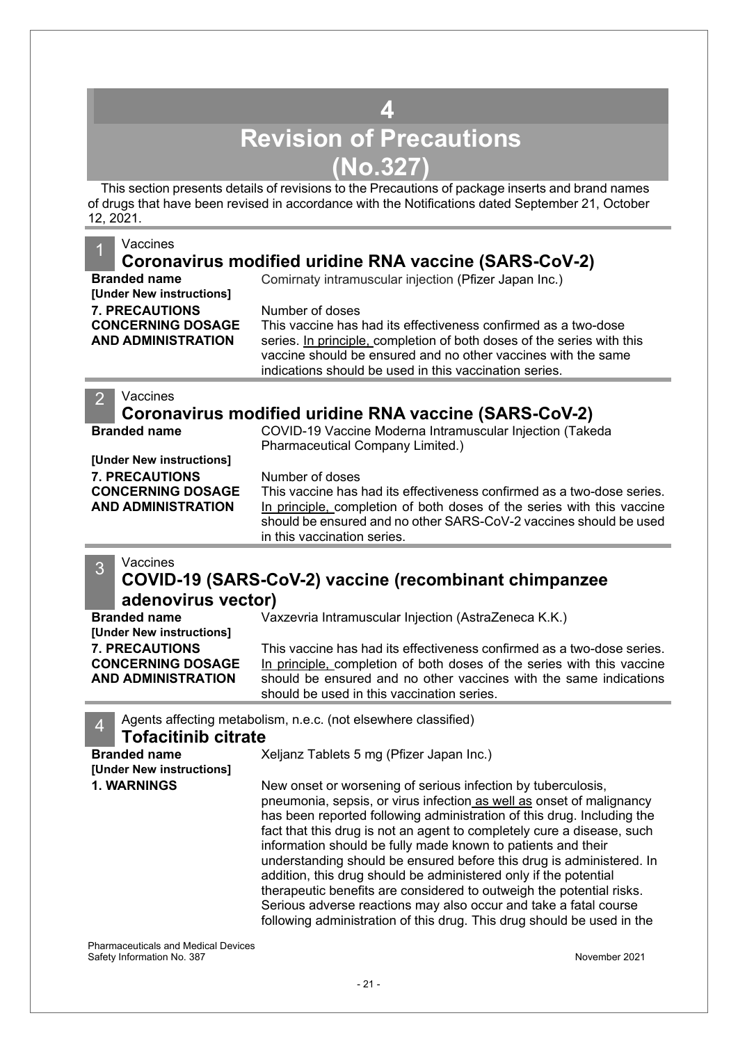## **4 Revision of Precautions (No.327)**

<span id="page-20-0"></span>This section presents details of revisions to the Precautions of package inserts and brand names of drugs that have been revised in accordance with the Notifications dated September 21, October 12, 2021.

#### **Vaccines Coronavirus modified uridine RNA vaccine (SARS-CoV-2) Branded name** Comirnaty intramuscular injection (Pfizer Japan Inc.) **[Under New instructions] 7. PRECAUTIONS CONCERNING DOSAGE AND ADMINISTRATION** Number of doses This vaccine has had its effectiveness confirmed as a two-dose series. In principle, completion of both doses of the series with this vaccine should be ensured and no other vaccines with the same indications should be used in this vaccination series. **Vaccines Coronavirus modified uridine RNA vaccine (SARS-CoV-2) Branded name** COVID-19 Vaccine Moderna Intramuscular Injection (Takeda Pharmaceutical Company Limited.) **[Under New instructions] 7. PRECAUTIONS CONCERNING DOSAGE AND ADMINISTRATION** Number of doses This vaccine has had its effectiveness confirmed as a two-dose series. In principle, completion of both doses of the series with this vaccine should be ensured and no other SARS-CoV-2 vaccines should be used in this vaccination series.

### 3<sup>Vaccines</sup> **COVID-19 (SARS-CoV-2) vaccine (recombinant chimpanzee adenovirus vector)**

| <b>Branded name</b>       | Vaxzevria Intramuscular Injection (AstraZeneca K.K.)                                                            |
|---------------------------|-----------------------------------------------------------------------------------------------------------------|
| [Under New instructions]  |                                                                                                                 |
| <b>7. PRECAUTIONS</b>     | This vaccine has had its effectiveness confirmed as a two-dose series.                                          |
| <b>CONCERNING DOSAGE</b>  | In principle, completion of both doses of the series with this vaccine                                          |
| <b>AND ADMINISTRATION</b> | should be ensured and no other vaccines with the same indications<br>should be used in this vaccination series. |
|                           |                                                                                                                 |

4 Agents affecting metabolism, n.e.c. (not elsewhere classified)

# **Tofacitinib citrate**<br><sup>8</sup>

**Branded name** Xeljanz Tablets 5 mg (Pfizer Japan Inc.) **[Under New instructions] 1. WARNINGS** New onset or worsening of serious infection by tuberculosis, pneumonia, sepsis, or virus infection as well as onset of malignancy has been reported following administration of this drug. Including the fact that this drug is not an agent to completely cure a disease, such information should be fully made known to patients and their understanding should be ensured before this drug is administered. In addition, this drug should be administered only if the potential therapeutic benefits are considered to outweigh the potential risks. Serious adverse reactions may also occur and take a fatal course following administration of this drug. This drug should be used in the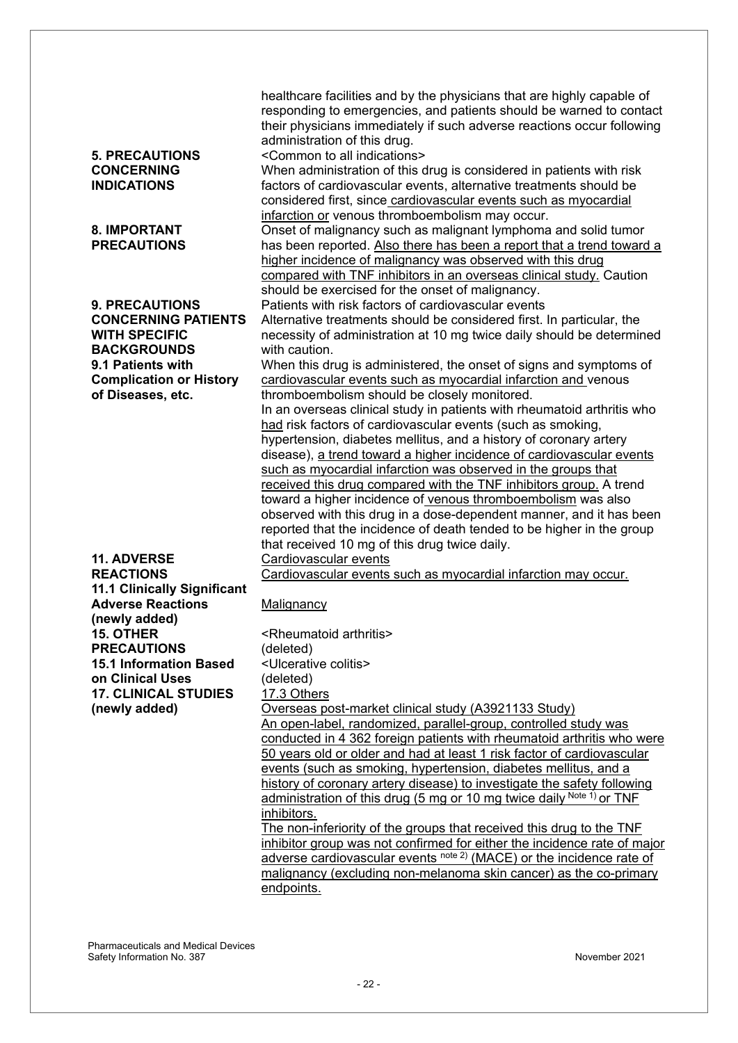| <b>5. PRECAUTIONS</b><br><b>CONCERNING</b><br><b>INDICATIONS</b><br><b>8. IMPORTANT</b>                                | healthcare facilities and by the physicians that are highly capable of<br>responding to emergencies, and patients should be warned to contact<br>their physicians immediately if such adverse reactions occur following<br>administration of this drug.<br><common all="" indications="" to=""><br/>When administration of this drug is considered in patients with risk<br/>factors of cardiovascular events, alternative treatments should be<br/>considered first, since cardiovascular events such as myocardial<br/>infarction or venous thromboembolism may occur.<br/>Onset of malignancy such as malignant lymphoma and solid tumor</common>                                                                                                                                                                              |
|------------------------------------------------------------------------------------------------------------------------|-----------------------------------------------------------------------------------------------------------------------------------------------------------------------------------------------------------------------------------------------------------------------------------------------------------------------------------------------------------------------------------------------------------------------------------------------------------------------------------------------------------------------------------------------------------------------------------------------------------------------------------------------------------------------------------------------------------------------------------------------------------------------------------------------------------------------------------|
| <b>PRECAUTIONS</b>                                                                                                     | has been reported. Also there has been a report that a trend toward a<br>higher incidence of malignancy was observed with this drug<br>compared with TNF inhibitors in an overseas clinical study. Caution<br>should be exercised for the onset of malignancy.                                                                                                                                                                                                                                                                                                                                                                                                                                                                                                                                                                    |
| <b>9. PRECAUTIONS</b><br><b>CONCERNING PATIENTS</b><br><b>WITH SPECIFIC</b><br><b>BACKGROUNDS</b><br>9.1 Patients with | Patients with risk factors of cardiovascular events<br>Alternative treatments should be considered first. In particular, the<br>necessity of administration at 10 mg twice daily should be determined<br>with caution.<br>When this drug is administered, the onset of signs and symptoms of                                                                                                                                                                                                                                                                                                                                                                                                                                                                                                                                      |
| <b>Complication or History</b><br>of Diseases, etc.                                                                    | cardiovascular events such as myocardial infarction and venous<br>thromboembolism should be closely monitored.<br>In an overseas clinical study in patients with rheumatoid arthritis who<br>had risk factors of cardiovascular events (such as smoking,<br>hypertension, diabetes mellitus, and a history of coronary artery<br>disease), a trend toward a higher incidence of cardiovascular events<br>such as myocardial infarction was observed in the groups that<br>received this drug compared with the TNF inhibitors group. A trend<br>toward a higher incidence of venous thromboembolism was also<br>observed with this drug in a dose-dependent manner, and it has been<br>reported that the incidence of death tended to be higher in the group<br>that received 10 mg of this drug twice daily.                     |
| 11. ADVERSE<br><b>REACTIONS</b><br><b>11.1 Clinically Significant</b>                                                  | <b>Cardiovascular events</b><br>Cardiovascular events such as myocardial infarction may occur.                                                                                                                                                                                                                                                                                                                                                                                                                                                                                                                                                                                                                                                                                                                                    |
| <b>Adverse Reactions</b><br>(newly added)<br><b>15. OTHER</b><br><b>PRECAUTIONS</b>                                    | Malignancy<br><rheumatoid arthritis=""><br/>(deleted)</rheumatoid>                                                                                                                                                                                                                                                                                                                                                                                                                                                                                                                                                                                                                                                                                                                                                                |
| <b>15.1 Information Based</b><br>on Clinical Uses<br><b>17. CLINICAL STUDIES</b>                                       | <ulcerative colitis=""><br/>(deleted)<br/>17.3 Others</ulcerative>                                                                                                                                                                                                                                                                                                                                                                                                                                                                                                                                                                                                                                                                                                                                                                |
| (newly added)                                                                                                          | Overseas post-market clinical study (A3921133 Study)<br>An open-label, randomized, parallel-group, controlled study was<br>conducted in 4 362 foreign patients with rheumatoid arthritis who were<br>50 years old or older and had at least 1 risk factor of cardiovascular<br>events (such as smoking, hypertension, diabetes mellitus, and a<br>history of coronary artery disease) to investigate the safety following<br>administration of this drug (5 mg or 10 mg twice daily Note 1) or TNF<br>inhibitors.<br>The non-inferiority of the groups that received this drug to the TNF<br>inhibitor group was not confirmed for either the incidence rate of major<br>adverse cardiovascular events note 2) (MACE) or the incidence rate of<br>malignancy (excluding non-melanoma skin cancer) as the co-primary<br>endpoints. |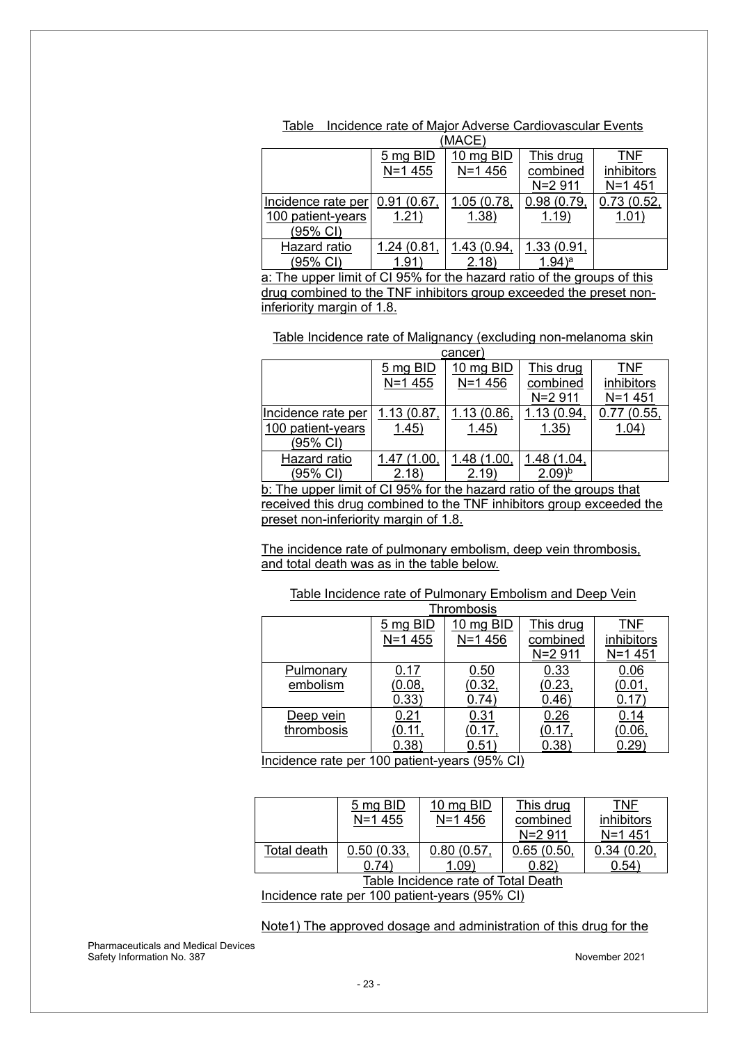| <u>IVIAVL</u>                                                           |                    |            |             |            |  |  |  |
|-------------------------------------------------------------------------|--------------------|------------|-------------|------------|--|--|--|
|                                                                         | $5 \text{ mg BID}$ | 10 mg BID  | This drug   | <b>TNF</b> |  |  |  |
|                                                                         | $N = 1455$         | $N = 1456$ | combined    | inhibitors |  |  |  |
|                                                                         |                    |            | N=2 911     | $N = 1451$ |  |  |  |
| Incidence rate per                                                      | 0.91(0.67)         | 1.05(0.78, | 0.98(0.79,  | 0.73(0.52, |  |  |  |
| 100 patient-years                                                       | 1.21)              | 1.38)      | 1.19)       | 1.01)      |  |  |  |
| (95% CI)                                                                |                    |            |             |            |  |  |  |
| <b>Hazard ratio</b>                                                     | 1.24(0.81,         | 1.43(0.94) | 1.33 (0.91, |            |  |  |  |
| $(95% \text{ Cl})$                                                      | 1.91               | (2.18)     | $(1.94)^a$  |            |  |  |  |
| a: The upper limit of CI 95% for the hazard ratio of the groups of this |                    |            |             |            |  |  |  |
|                                                                         |                    |            |             |            |  |  |  |

Table Incidence rate of Major Adverse Cardiovascular Events  $(M\Delta C_F)$ 

drug combined to the TNF inhibitors group exceeded the preset noninferiority margin of 1.8.

Table Incidence rate of Malignancy (excluding non-melanoma skin

| cancer                                                               |             |             |                      |            |
|----------------------------------------------------------------------|-------------|-------------|----------------------|------------|
|                                                                      | 5 mg BID    | 10 mg BID   | This drug            | TNF        |
|                                                                      | $N = 1455$  | $N = 1456$  | combined             | inhibitors |
|                                                                      |             |             | N=2 911              | $N = 1451$ |
| Incidence rate per                                                   | 1.13 (0.87  | 1.13(0.86,  | 1.13 (0.94)          | 0.77(0.55, |
| 100 patient-years                                                    | 1.45)       | 1.45)       | 1.35)                | 1.04)      |
| (95% CI)                                                             |             |             |                      |            |
| Hazard ratio                                                         | 1.47 (1.00. | 1.48 (1.00, | 1.48 (1.04,          |            |
| (95% CI)                                                             | 2.18        | 2.19        | $2.09)$ <sup>b</sup> |            |
| b: The upper limit of CI 95% for the hazard ratio of the groups that |             |             |                      |            |
|                                                                      |             |             |                      |            |

received this drug combined to the TNF inhibitors group exceeded the preset non-inferiority margin of 1.8.

The incidence rate of pulmonary embolism, deep vein thrombosis, and total death was as in the table below.

#### Table Incidence rate of Pulmonary Embolism and Deep Vein

| <b>Thrombosis</b>                            |               |            |           |            |
|----------------------------------------------|---------------|------------|-----------|------------|
|                                              | 5 mg BID      | 10 mg BID  | This drug | TNF        |
|                                              | N=1 455       | $N = 1456$ | combined  | inhibitors |
|                                              |               |            | N=2 911   | $N = 1451$ |
| Pulmonary                                    | 0.17          | 0.50       | 0.33      | 0.06       |
| embolism                                     | (0.08,        | (0.32,     | (0.23,    | (0.01)     |
|                                              | 0.33)         | 0.74)      | 0.46)     | 0.17       |
| Deep vein                                    | 0.21          | 0.31       | 0.26      | 0.14       |
| thrombosis                                   | <u>(0.11,</u> | (0.17,     | (0.17,    | (0.06,     |
|                                              | 0.38)         | 0.51       | 0.38      | 0.29       |
| poidence rate per 100 patient vears (05% CI) |               |            |           |            |

Incidence rate per 100 patient-years (95% CI)

|                                                        | 5 mg BID<br>$N = 1455$ | 10 mg BID<br>$N = 1456$ | This drug<br>combined<br>$N = 2911$ | TNF<br>inhibitors<br>$N = 1451$ |
|--------------------------------------------------------|------------------------|-------------------------|-------------------------------------|---------------------------------|
| Total death                                            | 0.50(0.33,             | 0.80(0.57,              | 0.65(0.50)                          | 0.34(0.20,                      |
|                                                        | 0.74)                  | 1.09                    | 0.82)                               | 0.54                            |
| Table Incidence rate of Total Death                    |                        |                         |                                     |                                 |
| $l$ noidense rote nor 100 notiont vesre (050/ $\Omega$ |                        |                         |                                     |                                 |

Incidence rate per 100 patient-years (95% CI)

Note1) The approved dosage and administration of this drug for the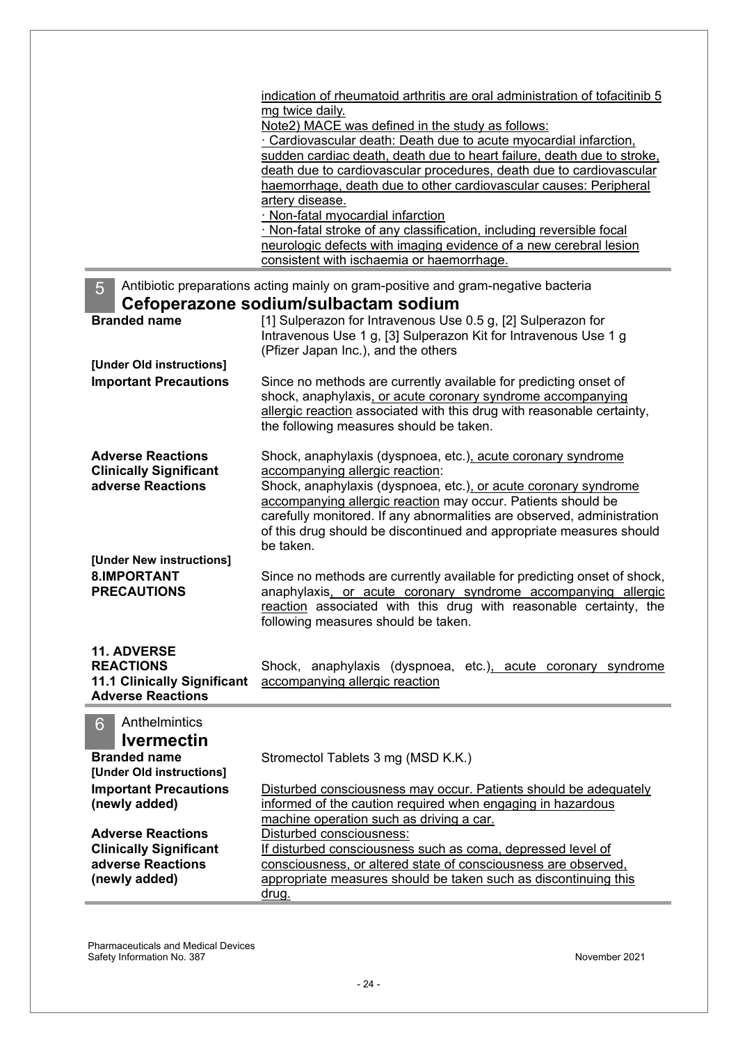|                                                                | indication of rheumatoid arthritis are oral administration of tofacitinib 5<br>mg twice daily.                            |  |  |
|----------------------------------------------------------------|---------------------------------------------------------------------------------------------------------------------------|--|--|
|                                                                | Note2) MACE was defined in the study as follows:                                                                          |  |  |
|                                                                | Cardiovascular death: Death due to acute myocardial infarction,                                                           |  |  |
|                                                                | sudden cardiac death, death due to heart failure, death due to stroke,                                                    |  |  |
|                                                                | death due to cardiovascular procedures, death due to cardiovascular                                                       |  |  |
|                                                                | haemorrhage, death due to other cardiovascular causes: Peripheral                                                         |  |  |
|                                                                | artery disease.                                                                                                           |  |  |
|                                                                | · Non-fatal myocardial infarction                                                                                         |  |  |
|                                                                | Non-fatal stroke of any classification, including reversible focal                                                        |  |  |
|                                                                | neurologic defects with imaging evidence of a new cerebral lesion                                                         |  |  |
|                                                                | consistent with ischaemia or haemorrhage.                                                                                 |  |  |
| 5                                                              | Antibiotic preparations acting mainly on gram-positive and gram-negative bacteria<br>Cefoperazone sodium/sulbactam sodium |  |  |
| <b>Branded name</b>                                            | [1] Sulperazon for Intravenous Use 0.5 g, [2] Sulperazon for                                                              |  |  |
|                                                                | Intravenous Use 1 g, [3] Sulperazon Kit for Intravenous Use 1 g                                                           |  |  |
|                                                                | (Pfizer Japan Inc.), and the others                                                                                       |  |  |
| [Under Old instructions]                                       |                                                                                                                           |  |  |
| <b>Important Precautions</b>                                   | Since no methods are currently available for predicting onset of                                                          |  |  |
|                                                                | shock, anaphylaxis, or acute coronary syndrome accompanying                                                               |  |  |
|                                                                | allergic reaction associated with this drug with reasonable certainty,                                                    |  |  |
|                                                                | the following measures should be taken.                                                                                   |  |  |
| <b>Adverse Reactions</b>                                       |                                                                                                                           |  |  |
| <b>Clinically Significant</b>                                  | Shock, anaphylaxis (dyspnoea, etc.), acute coronary syndrome<br>accompanying allergic reaction:                           |  |  |
| adverse Reactions                                              | Shock, anaphylaxis (dyspnoea, etc.), or acute coronary syndrome                                                           |  |  |
|                                                                | accompanying allergic reaction may occur. Patients should be                                                              |  |  |
|                                                                | carefully monitored. If any abnormalities are observed, administration                                                    |  |  |
|                                                                | of this drug should be discontinued and appropriate measures should                                                       |  |  |
|                                                                | be taken.                                                                                                                 |  |  |
| [Under New instructions]                                       |                                                                                                                           |  |  |
| 8.IMPORTANT                                                    | Since no methods are currently available for predicting onset of shock,                                                   |  |  |
| <b>PRECAUTIONS</b>                                             | anaphylaxis, or acute coronary syndrome accompanying allergic                                                             |  |  |
|                                                                | reaction associated with this drug with reasonable certainty, the                                                         |  |  |
|                                                                | following measures should be taken.                                                                                       |  |  |
|                                                                |                                                                                                                           |  |  |
| <b>11. ADVERSE</b>                                             |                                                                                                                           |  |  |
| <b>REACTIONS</b>                                               | Shock, anaphylaxis (dyspnoea, etc.), acute coronary syndrome                                                              |  |  |
| <b>11.1 Clinically Significant</b><br><b>Adverse Reactions</b> | accompanying allergic reaction                                                                                            |  |  |
|                                                                |                                                                                                                           |  |  |
| Anthelmintics<br>6                                             |                                                                                                                           |  |  |
| <b>Ivermectin</b>                                              |                                                                                                                           |  |  |
| <b>Branded name</b>                                            | Stromectol Tablets 3 mg (MSD K.K.)                                                                                        |  |  |
| [Under Old instructions]                                       |                                                                                                                           |  |  |
| <b>Important Precautions</b>                                   | Disturbed consciousness may occur. Patients should be adequately                                                          |  |  |
| (newly added)                                                  | informed of the caution required when engaging in hazardous                                                               |  |  |
|                                                                | machine operation such as driving a car.                                                                                  |  |  |
| <b>Adverse Reactions</b>                                       | Disturbed consciousness:                                                                                                  |  |  |
| <b>Clinically Significant</b>                                  | If disturbed consciousness such as coma, depressed level of                                                               |  |  |
| adverse Reactions                                              | consciousness, or altered state of consciousness are observed,                                                            |  |  |
| (newly added)                                                  | appropriate measures should be taken such as discontinuing this                                                           |  |  |
|                                                                | drug.                                                                                                                     |  |  |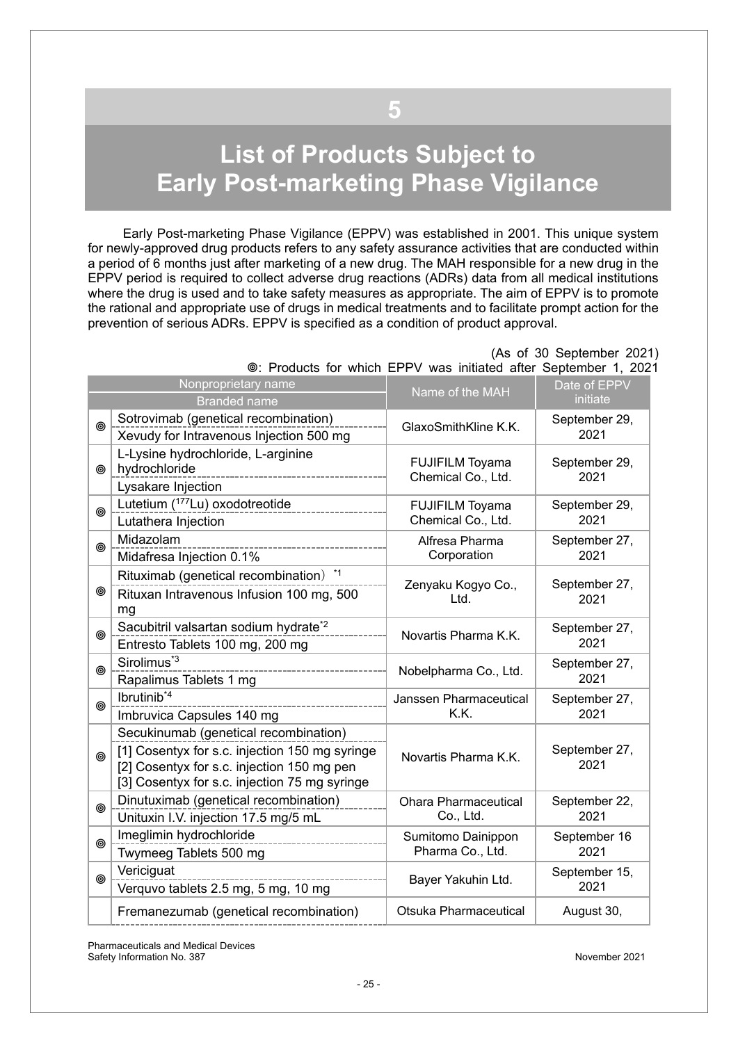# <span id="page-24-0"></span>**List of Products Subject to Early Post-marketing Phase Vigilance**

**5**

Early Post-marketing Phase Vigilance (EPPV) was established in 2001. This unique system for newly-approved drug products refers to any safety assurance activities that are conducted within a period of 6 months just after marketing of a new drug. The MAH responsible for a new drug in the EPPV period is required to collect adverse drug reactions (ADRs) data from all medical institutions where the drug is used and to take safety measures as appropriate. The aim of EPPV is to promote the rational and appropriate use of drugs in medical treatments and to facilitate prompt action for the prevention of serious ADRs. EPPV is specified as a condition of product approval.

|   | Nonproprietary name                                                                                                                                                                    | <b>I TOGGOLD TOT WITHOUT ET I V WGD INTIGRACY GROT OCPROTING!</b> I, LOL | Date of EPPV          |
|---|----------------------------------------------------------------------------------------------------------------------------------------------------------------------------------------|--------------------------------------------------------------------------|-----------------------|
|   | <b>Branded name</b>                                                                                                                                                                    | Name of the MAH                                                          | initiate              |
| ◉ | Sotrovimab (genetical recombination)<br>Xevudy for Intravenous Injection 500 mg                                                                                                        | GlaxoSmithKline K.K.                                                     | September 29,<br>2021 |
| ◎ | L-Lysine hydrochloride, L-arginine<br>hydrochloride<br>---------------------------<br>Lysakare Injection                                                                               | <b>FUJIFILM Toyama</b><br>Chemical Co., Ltd.                             | September 29,<br>2021 |
| ◉ | Lutetium (177Lu) oxodotreotide<br>Lutathera Injection                                                                                                                                  | <b>FUJIFILM Toyama</b><br>Chemical Co., Ltd.                             | September 29,<br>2021 |
| ◎ | Midazolam<br>Midafresa Injection 0.1%                                                                                                                                                  | Alfresa Pharma<br>Corporation                                            | September 27,<br>2021 |
| ◉ | Rituximab (genetical recombination) *1<br>Rituxan Intravenous Infusion 100 mg, 500<br>mg                                                                                               | Zenyaku Kogyo Co.,<br>Ltd.                                               | September 27,<br>2021 |
| ⊚ | Sacubitril valsartan sodium hydrate <sup>*2</sup><br>Entresto Tablets 100 mg, 200 mg                                                                                                   | Novartis Pharma K.K.                                                     | September 27,<br>2021 |
| ◎ | Sirolimus <sup>*3</sup><br>_____________________________<br>Rapalimus Tablets 1 mg                                                                                                     | Nobelpharma Co., Ltd.                                                    | September 27,<br>2021 |
| ◎ | Ibrutinib <sup>*4</sup><br>Imbruvica Capsules 140 mg                                                                                                                                   | Janssen Pharmaceutical<br>K.K.                                           | September 27,<br>2021 |
| ◎ | Secukinumab (genetical recombination)<br>[1] Cosentyx for s.c. injection 150 mg syringe<br>[2] Cosentyx for s.c. injection 150 mg pen<br>[3] Cosentyx for s.c. injection 75 mg syringe | Novartis Pharma K.K.                                                     | September 27,<br>2021 |
| ◎ | Dinutuximab (genetical recombination)<br>Unituxin I.V. injection 17.5 mg/5 mL                                                                                                          | <b>Ohara Pharmaceutical</b><br>Co., Ltd.                                 | September 22,<br>2021 |
| ◎ | Imeglimin hydrochloride<br>Twymeeg Tablets 500 mg                                                                                                                                      | Sumitomo Dainippon<br>Pharma Co., Ltd.                                   | September 16<br>2021  |
| ◎ | Vericiguat<br>Verquvo tablets 2.5 mg, 5 mg, 10 mg                                                                                                                                      | Bayer Yakuhin Ltd.                                                       | September 15,<br>2021 |
|   | Fremanezumab (genetical recombination)                                                                                                                                                 | Otsuka Pharmaceutical                                                    | August 30,            |

 (As of 30 September 2021) : Products for which EPPV was initiated after September 1, 2021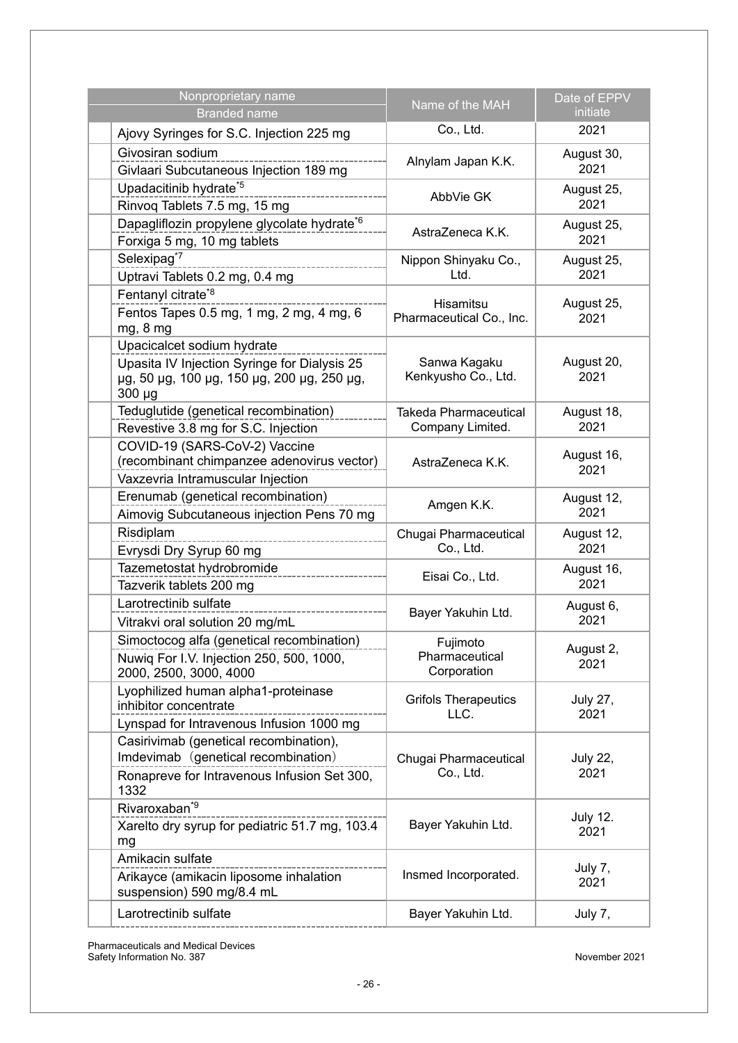| Nonproprietary name<br><b>Branded name</b>                                                                                              | Name of the MAH                                  | Date of EPPV<br>initiate |
|-----------------------------------------------------------------------------------------------------------------------------------------|--------------------------------------------------|--------------------------|
| Ajovy Syringes for S.C. Injection 225 mg                                                                                                | Co., Ltd.                                        | 2021                     |
| Givosiran sodium<br>Givlaari Subcutaneous Injection 189 mg                                                                              | Alnylam Japan K.K.                               | August 30,<br>2021       |
| Upadacitinib hydrate*5<br>Rinvoq Tablets 7.5 mg, 15 mg                                                                                  | AbbVie GK                                        | August 25,<br>2021       |
| Dapagliflozin propylene glycolate hydrate*6<br>Forxiga 5 mg, 10 mg tablets                                                              | AstraZeneca K.K.                                 | August 25,<br>2021       |
| Selexipag <sup>*7</sup><br>Uptravi Tablets 0.2 mg, 0.4 mg                                                                               | Nippon Shinyaku Co.,<br>Ltd.                     | August 25,<br>2021       |
| Fentanyl citrate <sup>*8</sup><br>Fentos Tapes 0.5 mg, 1 mg, 2 mg, 4 mg, 6<br>mg, 8 mg                                                  | Hisamitsu<br>Pharmaceutical Co., Inc.            | August 25,<br>2021       |
| Upacicalcet sodium hydrate<br>Upasita IV Injection Syringe for Dialysis 25<br>µg, 50 µg, 100 µg, 150 µg, 200 µg, 250 µg,<br>$300 \mu g$ | Sanwa Kagaku<br>Kenkyusho Co., Ltd.              | August 20,<br>2021       |
| Teduglutide (genetical recombination)<br>Revestive 3.8 mg for S.C. Injection                                                            | <b>Takeda Pharmaceutical</b><br>Company Limited. | August 18,<br>2021       |
| COVID-19 (SARS-CoV-2) Vaccine<br>(recombinant chimpanzee adenovirus vector)<br>Vaxzevria Intramuscular Injection                        | AstraZeneca K.K.                                 | August 16,<br>2021       |
| Erenumab (genetical recombination)<br>Aimovig Subcutaneous injection Pens 70 mg                                                         | Amgen K.K.                                       | August 12,<br>2021       |
| Risdiplam<br>Evrysdi Dry Syrup 60 mg                                                                                                    | Chugai Pharmaceutical<br>Co., Ltd.               | August 12,<br>2021       |
| Tazemetostat hydrobromide<br>Tazverik tablets 200 mg                                                                                    | Eisai Co., Ltd.                                  | August 16,<br>2021       |
| Larotrectinib sulfate<br>Vitrakvi oral solution 20 mg/mL                                                                                | Bayer Yakuhin Ltd.                               | August 6,<br>2021        |
| Simoctocog alfa (genetical recombination)<br>Nuwig For I.V. Injection 250, 500, 1000,<br>2000, 2500, 3000, 4000                         | Fujimoto<br>Pharmaceutical<br>Corporation        | August 2,<br>2021        |
| Lyophilized human alpha1-proteinase<br>inhibitor concentrate<br>Lynspad for Intravenous Infusion 1000 mg                                | <b>Grifols Therapeutics</b><br>LLC.              | <b>July 27,</b><br>2021  |
| Casirivimab (genetical recombination),<br>Imdevimab (genetical recombination)<br>Ronapreve for Intravenous Infusion Set 300,<br>1332    | Chugai Pharmaceutical<br>Co., Ltd.               | <b>July 22,</b><br>2021  |
| Rivaroxaban <sup>*9</sup><br>Xarelto dry syrup for pediatric 51.7 mg, 103.4<br>mg                                                       | Bayer Yakuhin Ltd.                               | <b>July 12.</b><br>2021  |
| Amikacin sulfate<br>Arikayce (amikacin liposome inhalation<br>suspension) 590 mg/8.4 mL                                                 | Insmed Incorporated.                             | July 7,<br>2021          |
| Larotrectinib sulfate                                                                                                                   | Bayer Yakuhin Ltd.                               | July 7,                  |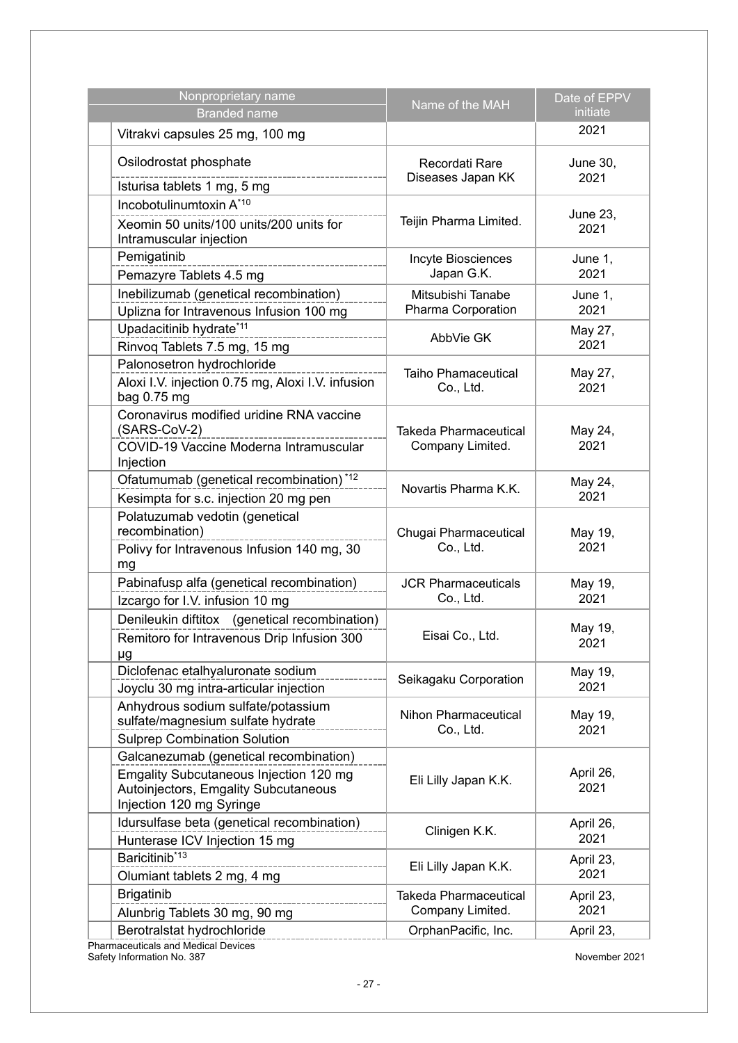| Nonproprietary name<br><b>Branded name</b>                                                                                                                  | Name of the MAH                                  | Date of EPPV<br>initiate |
|-------------------------------------------------------------------------------------------------------------------------------------------------------------|--------------------------------------------------|--------------------------|
| Vitrakvi capsules 25 mg, 100 mg                                                                                                                             |                                                  | 2021                     |
| Osilodrostat phosphate<br>Isturisa tablets 1 mg, 5 mg                                                                                                       | Recordati Rare<br>Diseases Japan KK              | June 30,<br>2021         |
| Incobotulinumtoxin A*10<br>Xeomin 50 units/100 units/200 units for<br>Intramuscular injection                                                               | Teijin Pharma Limited.                           | June 23,<br>2021         |
| Pemigatinib<br>Pemazyre Tablets 4.5 mg                                                                                                                      | Incyte Biosciences<br>Japan G.K.                 | June 1,<br>2021          |
| Inebilizumab (genetical recombination)<br>Uplizna for Intravenous Infusion 100 mg                                                                           | Mitsubishi Tanabe<br>Pharma Corporation          | June 1,<br>2021          |
| Upadacitinib hydrate*11<br>Rinvoq Tablets 7.5 mg, 15 mg                                                                                                     | AbbVie GK                                        | May 27,<br>2021          |
| Palonosetron hydrochloride<br>Aloxi I.V. injection 0.75 mg, Aloxi I.V. infusion<br>bag 0.75 mg                                                              | <b>Taiho Phamaceutical</b><br>Co., Ltd.          | May 27,<br>2021          |
| Coronavirus modified uridine RNA vaccine<br>(SARS-CoV-2)<br>COVID-19 Vaccine Moderna Intramuscular<br>Injection                                             | <b>Takeda Pharmaceutical</b><br>Company Limited. | May 24,<br>2021          |
| Ofatumumab (genetical recombination) <sup>*12</sup><br>Kesimpta for s.c. injection 20 mg pen                                                                | Novartis Pharma K.K.                             | May 24,<br>2021          |
| Polatuzumab vedotin (genetical<br>recombination)<br>Polivy for Intravenous Infusion 140 mg, 30<br>mg                                                        | Chugai Pharmaceutical<br>Co., Ltd.               | May 19,<br>2021          |
| Pabinafusp alfa (genetical recombination)<br>Izcargo for I.V. infusion 10 mg                                                                                | <b>JCR Pharmaceuticals</b><br>Co., Ltd.          | May 19,<br>2021          |
| Denileukin diftitox (genetical recombination)<br>Remitoro for Intravenous Drip Infusion 300<br>μg                                                           | Eisai Co., Ltd.                                  | May 19,<br>2021          |
| Diclofenac etalhyaluronate sodium<br>Joyclu 30 mg intra-articular injection                                                                                 | Seikagaku Corporation                            | May 19,<br>2021          |
| Anhydrous sodium sulfate/potassium<br>sulfate/magnesium sulfate hydrate<br><b>Sulprep Combination Solution</b>                                              | Nihon Pharmaceutical<br>Co., Ltd.                | May 19,<br>2021          |
| Galcanezumab (genetical recombination)<br><b>Emgality Subcutaneous Injection 120 mg</b><br>Autoinjectors, Emgality Subcutaneous<br>Injection 120 mg Syringe | Eli Lilly Japan K.K.                             | April 26,<br>2021        |
| Idursulfase beta (genetical recombination)<br>Hunterase ICV Injection 15 mg                                                                                 | Clinigen K.K.                                    | April 26,<br>2021        |
| Baricitinib*13<br>Olumiant tablets 2 mg, 4 mg                                                                                                               | Eli Lilly Japan K.K.                             | April 23,<br>2021        |
| <b>Brigatinib</b><br>Alunbrig Tablets 30 mg, 90 mg                                                                                                          | <b>Takeda Pharmaceutical</b><br>Company Limited. | April 23,<br>2021        |
| Berotralstat hydrochloride<br>Pharmaceuticals and Medical Devices                                                                                           | OrphanPacific, Inc.                              | April 23,                |

Safety Information No. 387 November 2021